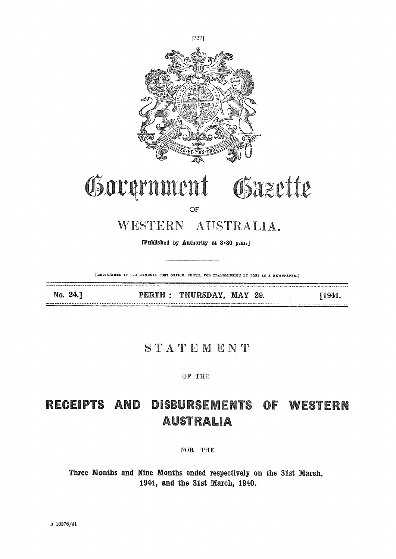

[REGISTERED AT THE GENERAL POST OFFICE, PERTH, FOR TRANSMISSION BY POST AS A HEWSPAPER.]

No. 24.]

PERTH : THURSDAY, MAY 29.

 $[1941.$ 

## STATEMENT

OF THE

## RECEIPTS AND DISBURSEMENTS OF WESTERN **AUSTRALIA**

FOR THE

Three Months and Nine Months ended respectively on the 31st March, 1941, and the 31st March, 1940.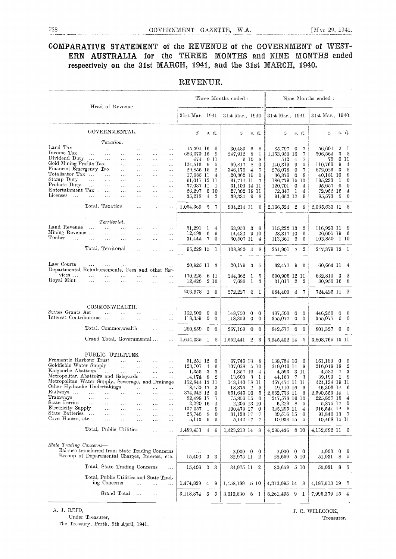## COMPARATIVE STATEMENT of the REVENUE of the GOVERNMENT of WEST-ERN AUSTRALIA for the THREE MONTHS and NINE MONTHS ended respectively on the 31st. MARCH, 1941, and the 31st MARCH, 1940.

|                                                                                                                                                                                                                                                                                                                                                                                                                                                                                                                                                                                                                                                                                                                                                                                                                                                                                              | Three Months ended:                                                                                                                                                                                                                                                                                                                                                                                                                                                                                                        | Nine Months ended:                                                                                                                                                                                                                                                                                                                                                                                                                                                                                             |  |  |  |
|----------------------------------------------------------------------------------------------------------------------------------------------------------------------------------------------------------------------------------------------------------------------------------------------------------------------------------------------------------------------------------------------------------------------------------------------------------------------------------------------------------------------------------------------------------------------------------------------------------------------------------------------------------------------------------------------------------------------------------------------------------------------------------------------------------------------------------------------------------------------------------------------|----------------------------------------------------------------------------------------------------------------------------------------------------------------------------------------------------------------------------------------------------------------------------------------------------------------------------------------------------------------------------------------------------------------------------------------------------------------------------------------------------------------------------|----------------------------------------------------------------------------------------------------------------------------------------------------------------------------------------------------------------------------------------------------------------------------------------------------------------------------------------------------------------------------------------------------------------------------------------------------------------------------------------------------------------|--|--|--|
| Head of Revenue.                                                                                                                                                                                                                                                                                                                                                                                                                                                                                                                                                                                                                                                                                                                                                                                                                                                                             | 31st Mar., 1941.   31st Mar., 1940.   31st Mar., 1941.                                                                                                                                                                                                                                                                                                                                                                                                                                                                     | 31st Mar., 1940.                                                                                                                                                                                                                                                                                                                                                                                                                                                                                               |  |  |  |
| GOVERNMENTAL.                                                                                                                                                                                                                                                                                                                                                                                                                                                                                                                                                                                                                                                                                                                                                                                                                                                                                | £<br>£<br>s. d.<br>s.d.                                                                                                                                                                                                                                                                                                                                                                                                                                                                                                    | £<br>£<br>s. d.<br>s. d.                                                                                                                                                                                                                                                                                                                                                                                                                                                                                       |  |  |  |
| Taxation.<br>Land Tax<br>$\sim$<br>$\ddotsc$<br>$\cdots$<br>$\ldots$<br>Income Tax<br>$\sim$ .<br>$\ldots$<br>$\ldots$<br>$\ldots$<br>$\ldots$<br>$\ddotsc$<br>Dividend Duty<br>$\cdots$<br>$\ldots$<br>$\ldots$<br>$\ldots$<br>$\cdots$<br>$\ldots$<br>Gold Mining Profits Tax<br>$\ddotsc$<br>$\ldots$<br>$\ldots$<br>$\sim$ $\sim$<br>Financial Emergency Tax<br>$\ldots$<br>$\ldots$<br>$\ddotsc$<br>$\ddotsc$<br>Totalisator Tax<br>$\ldots$<br>$\ldots$<br>$\cdots$<br>$\ldots$<br>Stamp Duty<br>$\sim 10^{-1}$<br>$\ldots$<br>$\ldots$<br>$\ddotsc$<br>$\ldots$<br>$\ldots$<br>Probate Duty<br>$\ldots$<br>$\ldots$<br>$\ldots$<br>$\ldots$<br>$\ldots$<br>$\ddots$<br>Entertainment Tax<br>$\ddotsc$<br>$\ddotsc$<br>$\ldots$<br>$\cdots$<br>$\cdots$<br>Licenses<br>$\sim$ .<br>$\bar{a}$ and<br>$\ddotsc$<br>$\ddotsc$<br>.<br>$\cdots$<br>$\ldots$<br>Total, Taxation<br>$\cdots$ | 45,594 16<br>8<br>30,483<br>0<br>5<br>686,670 16<br>247,912<br>-9<br>- 8<br>-1<br>474<br>$\overline{0}$<br>9 10<br>-8<br>-11<br>124,516<br>- 9<br>99,817<br>-8<br>-5<br>$\theta$<br>29,856 16<br>$\overline{2}$<br>346,176<br>$\overline{4}$<br>-7<br>17,685 11<br>20,362 19<br>4<br>5<br>61,017 12 11<br>61,714 11<br>$\overline{7}$<br>37,037 11<br>31,100 14 11<br>-1<br>26,297<br>6<br>-10<br>27,302 18 11<br>35,218<br>4<br>$\overline{2}$<br>39,334<br>- 9<br>-8<br>-7                                               | 56,604<br>2<br>- 1<br>85,797<br>$\theta$<br>-7<br>3<br>- 8<br>506,564<br>1,153,950 16<br>7<br>75 O II<br>512<br>4<br>7<br>140,319<br>9<br>110,766<br>-9<br>4<br>5<br>3<br>872,026<br>-8<br>278,078<br>$\bf{0}$<br>7<br>8<br>36.376<br>0<br>8<br>40,181 10<br>195,233<br>186,779 15 10<br>-1<br>0<br>95,657<br>120,701<br>$\theta$<br>$\mathbf{0}$<br>$\mathbf 0$<br>$\overline{4}$<br>72,952 15<br>72,347<br>1<br>4<br>4<br>91,662 12<br>9<br>85,573<br>- 5<br>$\bf{0}$<br>8                                   |  |  |  |
| $\ddotsc$<br>.                                                                                                                                                                                                                                                                                                                                                                                                                                                                                                                                                                                                                                                                                                                                                                                                                                                                               | $1,064,369$ 5<br>904,214 11<br>- 6                                                                                                                                                                                                                                                                                                                                                                                                                                                                                         | 2,166,524 2<br>-8<br>2,035,633 11                                                                                                                                                                                                                                                                                                                                                                                                                                                                              |  |  |  |
| Territorial.<br>Land Revenue<br>$\ddotsc$<br>$\ldots$<br>$\ddotsc$<br>$\cdots$<br>$\ddots$<br>$\ldots$<br>Mining Revenue<br>$\sim$ .<br>$\ddotsc$<br><br>$\ddotsc$<br>$\ldots$<br>Timber<br>$\ddotsc$<br>$\ddots$<br>$\ddotsc$<br>$\ddotsc$<br>$\ldots$<br>$\cdots$<br>$\ldots$                                                                                                                                                                                                                                                                                                                                                                                                                                                                                                                                                                                                              | 51,291<br>1<br>63,950<br>-3<br>-6<br>4<br>12.493<br>6<br>14,432<br>9<br>-9 10<br>31,444<br>-7<br>0<br>30,507 11<br>4                                                                                                                                                                                                                                                                                                                                                                                                       | 115,222 13<br>116,923 11<br>2<br>- 9<br>23,317 10<br>26,605 19 6<br>6<br>113,361 3<br>103,850 1 10<br>6                                                                                                                                                                                                                                                                                                                                                                                                        |  |  |  |
| Total, Territorial<br>$\sim$ .<br>$\cdots$<br>$\ddotsc$                                                                                                                                                                                                                                                                                                                                                                                                                                                                                                                                                                                                                                                                                                                                                                                                                                      | 95,228 15<br>-1<br>108,890 4<br>8                                                                                                                                                                                                                                                                                                                                                                                                                                                                                          | $\boldsymbol{2}$<br>247,379 13 1<br>251.901 7                                                                                                                                                                                                                                                                                                                                                                                                                                                                  |  |  |  |
| Law Courts<br>$\ddotsc$<br>$\cdots$<br>Departmental Reinbursements, Fees and other Ser-<br>vices<br>$\sim$<br>$\cdots$<br>$\cdots$<br>$\cdots$<br>$\ddots$<br>$\ldots$<br>Royal Mint<br>$\ddotsc$<br>$\ddots$<br>$\ddots$<br>$\ldots$<br>$\cdots$<br>$\ldots$                                                                                                                                                                                                                                                                                                                                                                                                                                                                                                                                                                                                                                | 20,925 11<br>20.179<br>- 3<br>-3<br>-5<br>170,226<br>244,362<br>-6 11<br>$\mathbf{I}$<br>-5<br>12,426<br>2 10<br>7,686 1<br>3                                                                                                                                                                                                                                                                                                                                                                                              | 62,477<br>60,664 11<br>9<br>$\frac{4}{ }$<br>-6<br>590,905 12 11<br>632,810 3<br>-2<br>31,017 2 2<br>30,950 16 8                                                                                                                                                                                                                                                                                                                                                                                               |  |  |  |
|                                                                                                                                                                                                                                                                                                                                                                                                                                                                                                                                                                                                                                                                                                                                                                                                                                                                                              | $203,578$ 1 0<br>$272,227$ 6 1                                                                                                                                                                                                                                                                                                                                                                                                                                                                                             | 684,400 4 7<br>724,425 11 2                                                                                                                                                                                                                                                                                                                                                                                                                                                                                    |  |  |  |
| COMMONWEALTH.<br>States Grants Act<br>$\ddotsc$<br>$\ddotsc$<br>$\ldots$<br>Interest Contributions<br>$\sim$ .<br>$\ddotsc$<br>$\cdots$<br>$\ldots$<br>Total, Commonwealth<br>$\ddotsc$<br>$\ldots$<br>Grand Total, Governmental<br>$\ddotsc$                                                                                                                                                                                                                                                                                                                                                                                                                                                                                                                                                                                                                                                | 162,500<br>148,750<br>$\bf{0}$<br>$\bf{0}$<br>$\bf{0}$<br>$\bf{0}$<br>118,359<br>$\bf{0}$<br>118,359<br>$\overline{0}$<br>$\mathbf{0}$<br>$\bf{0}$<br>280,859 0<br>$\mathbf 0$<br>267,109 0 0<br>$1,644,035$ 1 8<br>1,552,441 2 3                                                                                                                                                                                                                                                                                          | 487,500<br>446,250<br>$\bf{0}$<br>$\bf{0}$<br>$\mathbf{0}$<br>- 0<br>$0\quad 0$<br>355,077<br>$\bf{0}$<br>355,077<br>$\theta$<br>842,577 0<br>801,327 0 0<br>$\mathbf{0}$<br>3,945,402 14 5<br>3,808,765 15 11                                                                                                                                                                                                                                                                                                 |  |  |  |
| PUBLIC UTILITIES.<br>Fremantle Harbour Trust<br>$\mathbf{11.1}$ and $\mathbf{11.1}$<br>$\sim$ $\sim$<br>$\ldots$<br>Goldfields Water Supply<br><b>Alberta</b><br>$\ddotsc$<br>$\ddots$<br>$\ldots$<br>Kalgoorlie Abattoirs<br>$\sim$<br>$\sim 10^{-1}$<br>$\sim 100$<br>$\cdots$<br>44<br>Metropolitan Abattoirs and Saleyards<br>$\cdots$<br>$\ddotsc$<br>Metropolitan Water Supply, Sewerage, and Drainage<br>Other Hydraulic Undertakings<br>$\ldots$<br>Railways<br>$\ddotsc$<br>$\cdots$<br>$\ddotsc$<br>$\cdots$<br>$\cdots$<br>$\ldots$<br>Tramways<br>.<br>$\ddots$<br>$\cdots$<br>$\ldots$<br>State Ferries<br>.<br><br><br>$\dots$<br>.<br>Electricity Supply<br><br>$\ddotsc$<br>$\ddotsc$<br>$\ddotsc$<br>$\ldots$<br>State Batteries<br>$\sim$<br>$\ldots$<br>.<br><br>.<br>$\ldots$<br>Cave Houses, etc.<br>$\cdots$<br>$\ddotsc$<br>.<br>$\ldots$                             | 51,251 12<br>67,746 13<br>0<br>-8<br>123,707<br>$\frac{4}{5}$<br>107,028<br>-5 10<br>6<br>1,356<br>-3<br>3<br>1,357 19<br>4<br>14,174<br>- 8<br>$\overline{2}$<br>13,600 3<br>-1<br>152,844 13 11<br>148,140 18 11<br>18,450 17<br>18,875 2<br>3<br>Ð<br>874,942 12<br>$\boldsymbol{0}$<br>851,645 10<br>5<br>82,498 17<br>7<br>75,856 15<br>$\bf{0}$<br>2,290 16<br>2,205 13 10<br>4<br>107,057<br>100,479 17<br>$\mathbf{I}$<br>9<br>$\bf{0}$<br>25,745<br>8<br>0<br>31,133 17<br>7<br>-9<br>5,113<br>9<br>5,142 17<br>7 | 138,754 16<br>161,180 0<br>-9<br>$\mathbf{0}$<br>-2<br>249,046 14<br>216,049 18<br>-9<br>3 11<br>4,582<br>-7<br>-3<br>4,593<br>39,193<br>- 1<br>44,163<br>-7<br>-3<br>-9<br>457,474 11 11<br>424,134 19 11<br>46,303 14<br>49,110 16<br>$\boldsymbol{6}$<br>- 6<br>2,662,733 11<br>2,590,553 14<br>$\mathbf{I}$<br>- 6<br>225,857 15<br>247,578 16 10<br>4<br>6,229<br>5,875 17<br>- 8<br>$\bf{0}$<br>-5<br>325,295 11<br>316,541 12 9<br>4<br>91,840 13 7<br>89,516 15<br>0<br>10.938 15<br>10,468 15 11<br>5 |  |  |  |
| Total, Public Utilities<br>$\ddotsc$<br>$\ddotsc$                                                                                                                                                                                                                                                                                                                                                                                                                                                                                                                                                                                                                                                                                                                                                                                                                                            | $1,459,433 \quad 4 \quad 6$<br>1,423,213 14 8                                                                                                                                                                                                                                                                                                                                                                                                                                                                              | 4.285,436<br>8 10<br>4,132,582 11<br>$\bf{0}$                                                                                                                                                                                                                                                                                                                                                                                                                                                                  |  |  |  |
| State Trading Concerns-<br>Balance transferred from State Trading Concerns<br>Recoup of Departmental Charges, Interest, etc.                                                                                                                                                                                                                                                                                                                                                                                                                                                                                                                                                                                                                                                                                                                                                                 | $2,000 \quad 0 \quad 0$<br>$15,406$ 0<br>3<br>32,975 11<br>2                                                                                                                                                                                                                                                                                                                                                                                                                                                               | $4,000 \quad 0$<br>2,000<br>$0 \quad 0$<br>- 0<br>$51,\!031$<br>- 8<br>28,659<br>5 10<br>- 5                                                                                                                                                                                                                                                                                                                                                                                                                   |  |  |  |
| Total, State Trading Concerns<br>$\ddotsc$                                                                                                                                                                                                                                                                                                                                                                                                                                                                                                                                                                                                                                                                                                                                                                                                                                                   | $15,406$ 0<br>34,975 11<br>3<br>2                                                                                                                                                                                                                                                                                                                                                                                                                                                                                          | 30,659<br>5 10<br>55,031 8<br>- 5                                                                                                                                                                                                                                                                                                                                                                                                                                                                              |  |  |  |
| Total, Public Utilities and State Trad-<br>ing Concerns<br><br>Grand Total<br>$\ldots$<br>$\ddotsc$<br>$\ldots$                                                                                                                                                                                                                                                                                                                                                                                                                                                                                                                                                                                                                                                                                                                                                                              | 1,458,189<br>1,474,839<br>9<br>5 10<br>4<br>3,118,874 6 5<br>3,010,630 8 1                                                                                                                                                                                                                                                                                                                                                                                                                                                 | 4,316,095 14 8<br>4,187,613 19<br>-5<br>8,261,498 9 1<br>7,996,379 15 4                                                                                                                                                                                                                                                                                                                                                                                                                                        |  |  |  |

REVENUE.

Under Treasurer, Treasurer, Treasurer.

The Treasury, Perth, 9th April, 1941.

A. J. REID, J. C. WILLCOCK,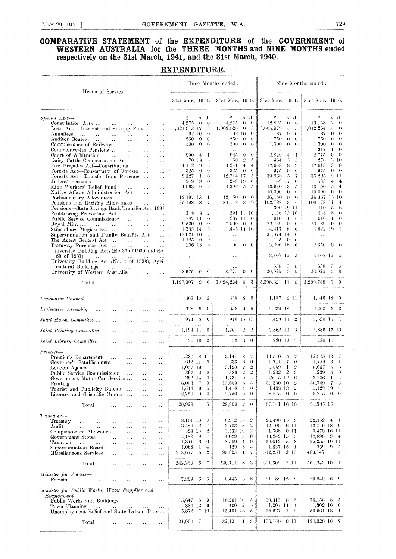## **COMPARATIVE STATEMENT of the EXPENDITURE of the GOVERNMENT of WESTERN AUSTRALIA for the THREE MONTHS and NINE MONTHS ended** respectively on the 31st March, 1941, and the 31st March, 1940.

## **EXPENDITURE.**

|                                                                                                                                              |                                       |                                               |                          |                                       | Three Months ended:                                            |                                                                            | Nine Months ended:                                                   |
|----------------------------------------------------------------------------------------------------------------------------------------------|---------------------------------------|-----------------------------------------------|--------------------------|---------------------------------------|----------------------------------------------------------------|----------------------------------------------------------------------------|----------------------------------------------------------------------|
| Heads of Service.                                                                                                                            |                                       |                                               | 31st Mar., 1941.         |                                       | 31st Mar., 1940.                                               | 31st Mar., 1941.                                                           | 3 ist Mar., 1940.                                                    |
| Special Acts-                                                                                                                                |                                       |                                               | £                        | s. d.                                 | £<br>s. d.                                                     | £<br>s. d.                                                                 | £<br>s. d.                                                           |
| Constitution Acts<br>$\ddotsc$                                                                                                               | $\cdots$                              | $\ldots$                                      | 4,275                    | $\theta$<br>$\theta$<br>9             | 4,275<br>$\theta$<br>0<br>1.002.026<br>$\theta$<br>3           | 12.825<br>$\theta$<br>0<br>3.065,979<br>$\overline{4}$<br>-3               | 13.158<br>7<br>$\theta$<br>3.012.264<br>4<br>$\theta$                |
| Loan Acts—Interest and Sinking Fund<br>Annuities<br>$\ddotsc$<br>$\ddotsc$                                                                   | $\cdots$                              | $\ddotsc$<br>.<br>$\ddotsc$                   | 1,021,913 17<br>62 10    | $\theta$                              | 62<br>$\theta$<br>-10                                          | 187 10<br>$\theta$                                                         | 187<br>-10<br>$\theta$                                               |
| Auditor General<br>$\sim 100$<br>$\cdots$                                                                                                    | $\ddotsc$                             | $\cdots$<br>$\ddotsc$                         | 250                      | $\theta$<br>$\theta$                  | $\Omega$<br>250<br>$\theta$                                    | 750<br>$\theta$<br>$\theta$                                                | $\theta$<br>750<br>-0                                                |
| Commissioner of Railways                                                                                                                     | $\ldots$                              | $\cdots$<br>$\cdots$                          | 500                      | $\theta$<br>$\theta$                  | $\theta$<br>$\theta$<br>.500                                   | 1,500<br>$\theta$<br>$\theta$                                              | $\theta$<br>1,500<br>$\theta$                                        |
| Commonwealth Pensions                                                                                                                        | $\ddots$                              | $\cdots$<br>$\cdots$                          | $\ddotsc$                |                                       | $\ddotsc$<br>925<br>$\Omega$                                   | .                                                                          | 317 11<br>$\theta$<br>$\theta$<br>$\Omega$                           |
| Court of Arbitration<br>$\ddotsc$<br>Dairy Cattle Compensation Act                                                                           | $\ddotsc$                             | $\cdots$<br>$\ddotsc$                         | 990<br>70 18             | $\ddot{+}$<br>1<br>-5                 | 0<br>$\overline{2}$<br>$\tilde{\mathbf{p}}$<br>60              | 2,840<br>$\overline{4}$<br>$\mathbf{I}$<br>3<br>464 15                     | 2.775<br>3 10<br>278                                                 |
| Fire Brigades Act-Contribution                                                                                                               |                                       | $\ldots$<br>$\cdots$<br>$\ddots$<br>$\ddotsc$ | 4.112                    | $\overline{2}$<br>-9                  | 4.241<br>4<br>$\overline{+}$                                   | 12,648<br>8<br>-9                                                          | 3<br>-8<br>12.613                                                    |
| Forests Act-Conservator of Forests                                                                                                           | $\ddotsc$                             | $\ddotsc$                                     | 325                      | $\theta$<br>$\theta$                  | $\theta$<br>325<br>$\theta$                                    | 975<br>$\theta$<br>$\theta$                                                | $\Omega$<br>$\theta$<br>975                                          |
| Forests Act-Transfer from Revenne                                                                                                            |                                       | $\cdots$                                      | 9.327                    | 1<br>$\theta$                         | 17<br>$\tilde{D}$<br>12,714                                    | $\overline{5}$<br>7<br>39.968                                              | $\ddot{2}$<br>35,225<br>-11                                          |
| Judges' Pensions<br>$\ddotsc$<br>Mine Workers' Relief Fund                                                                                   | $\cdots$                              | $\ddotsc$<br>$\cdots$                         | 249.<br>4.963            | 19<br>$\theta$<br>$\overline{2}$<br>9 | 249.<br>-19<br>$\Omega$<br>$\tilde{D}$<br>$\tilde{D}$<br>4,396 | 749 17<br>$\theta$<br>13,930 13<br>5                                       | 4<br>$\frac{4}{3}$<br>583<br>$\overline{4}$<br>13.150<br>$\tilde{J}$ |
| Native Affairs Administration Act                                                                                                            | $\ddotsc$                             | $\cdots$<br>$\ddotsc$<br>$\cdots$<br>$\cdots$ | $\cdots$                 |                                       |                                                                | 10,000<br>$\theta$<br>$^{(1)}$                                             | 10.000<br>$\theta$<br>$\theta$                                       |
| Parliamentary Allowances                                                                                                                     | $\ddotsc$<br>$\ddotsc$                | $\ddotsc$                                     | 12,197 13                | $\mathbf{I}$                          | 12,150<br>$\theta$<br>$\theta$                                 | 36,450<br>$\bigcirc$<br>$\theta$                                           | $36.367$ 15 10                                                       |
| Pensions and Retiring Allowances                                                                                                             |                                       | $\ddotsc$<br>$\ddotsc$                        | 35,198-18                | 7                                     | 3<br>$\Omega$<br>34,148                                        | 103.788 13<br>$\ddot{\phantom{a}}$                                         | $\overline{+}$<br>100,178<br>-11                                     |
| Pensions-State Savings Bank Transfer Act, 1931                                                                                               |                                       |                                               |                          | -8<br>$\overline{2}$                  | 291 11 10                                                      | 390 19 11<br>1.136 13 10                                                   | 6<br>410-15<br>438<br>-8<br>$\theta$                                 |
| Profiteering Prevention Act<br>Public Service Commissioner                                                                                   | $\ddotsc$<br>$\ddotsc$<br>$\ddotsc$   | $\ddotsc$<br>$\ddotsc$<br>$\cdots$            | 318<br>287 11            | $\theta$                              | 287-11<br>$\theta$                                             | 910 11<br>-6                                                               | 6<br>910 11                                                          |
| Royal Mint<br>and the company of the company of                                                                                              | $\ddotsc$                             | $\ldots$<br>$\cdots$                          | 9.500                    | $\theta$<br>$\theta$                  | $\sqrt{0}$<br>7.000<br>$\theta$                                | 22.739<br>$\Omega$<br>$\Omega$                                             | $\theta$<br>20,739<br>$\theta$                                       |
| Stipendiary Magistrates                                                                                                                      | $\sim$                                | $\ddotsc$<br>$\cdots$                         | 1,335 14                 | $\tilde{\mathcal{O}}$                 | 1,445 14 10                                                    | 4.417<br><sup>8</sup><br>$\sqrt{3}$                                        | 4,822 19<br>-1                                                       |
| Superannuation and Family Benefits Act                                                                                                       |                                       | $\ddotsc$                                     | 12,021                   | $\overline{2}$<br>10<br>$\Omega$      | $\ldots$                                                       | 31,874 14<br>6                                                             | $\cdots$                                                             |
| The Agent General Act<br>Tramway Purchase Act                                                                                                | $\mathbf{1}$ .                        | $\ddotsc$<br>$\ddotsc$                        | 1,125<br>206 18          | $\bf{0}$<br>6                         | $\ddotsc$<br>100<br>$0 \quad 0$                                | 1,125<br>$\theta$<br>$\left( \right)$<br>3.206 18<br>-6                    | $\ddotsc$<br>2.350<br>$\theta$<br>$\bigcirc$                         |
| University Building Acts (No.37 of 1930 and No.                                                                                              |                                       |                                               |                          |                                       |                                                                |                                                                            |                                                                      |
| 50 of 1931)<br>and a series of the contract of the<br>University Building Act (No. 4 of 1938), Agri-                                         |                                       | $\cdots$                                      | $\cdots$                 |                                       | $\ddotsc$                                                      | 3.107 12<br>-5<br>630<br>$\theta$<br>$\theta$                              | 3.107 12<br>$\overline{\cdot}$<br>630<br>$\theta$<br>- 0             |
| enltural Buildings<br>$\ddots$<br>University of Western Australia                                                                            | $\ddotsc$                             | $\ddotsc$<br>$\ddotsc$<br>$\cdots$            | 8,675                    | $\theta$<br>$\theta$                  | 8,775<br>$\theta$<br>$\theta$                                  | 26,025<br>$\Omega$<br>- 0                                                  | 26,025<br>$0 \quad 0$                                                |
| Total<br>$\ddotsc$                                                                                                                           | $\cdots$<br>.                         | .                                             | 1,127,907                | $\overline{2}$<br>$\beta$             | 1,094,224<br>$\theta$<br>-3                                    | 3,398,621 11<br>- 0                                                        | 3.299,758<br>$5 - 9$                                                 |
| Legislative Council<br>$\ddotsc$<br>$\cdots$                                                                                                 | $\ddotsc$<br>$\ddotsc$                | $\ddotsc$                                     | 367 10                   | $\overline{2}$                        | -8<br>- 6<br>358                                               | 211<br>1.187                                                               | $1,346-18-10$                                                        |
| Legislative Assembly<br>$\ddotsc$<br>                                                                                                        | $\cdots$<br>$\ddotsc$                 | $\ddotsc$                                     | 628                      | 9<br>$\theta$                         | 658<br>9<br>6                                                  | 2,239 18<br>$\blacksquare$                                                 | 2.263<br>$3 \quad 3$                                                 |
| Joint House Committee<br>.                                                                                                                   | $\cdots$<br>$\cdots$                  | $\cdots$                                      | 974                      | <sub>S</sub><br>-6                    | 916 15 11                                                      | $3,423$ 14<br>$\rightarrow$                                                | $3,520$ 15 1                                                         |
| Joint Printing Committee<br>$\cdots$                                                                                                         | $\cdots$<br>$\cdots$                  | $\cdots$                                      | 1.194 11                 | $\theta$                              | $\overline{2}$<br>$\cdot$ <sup>2</sup><br>1,201                | 3.862 10<br>- 3                                                            | 3,886 17 10                                                          |
| Joint Library Committee<br>.                                                                                                                 | $\ddotsc$<br>$\ddotsc$                | .                                             | $29-19$                  | - 3                                   | 22 16 10                                                       | 220-12<br>$\overline{7}$                                                   | 220 16<br>$\mathbf{1}$                                               |
| Premier-                                                                                                                                     |                                       |                                               |                          |                                       |                                                                |                                                                            |                                                                      |
| Premier's Department<br>                                                                                                                     | $\ldots$<br>                          | $\ddotsc$                                     | $4,230 \quad 8 \quad 11$ |                                       | 3.141<br>S<br>7                                                | 14,510<br>$\cdot$ <sub>5</sub><br>7                                        | 12,945 13<br>7                                                       |
| Governor's Establishment                                                                                                                     | $\ldots$<br>$\cdots$                  | $\sim$ $\sim$ $\sim$                          | 612 11                   | 8<br>7                                | 633<br>6<br>$\theta$<br>$2\,$<br>$\overline{2}$                | $\theta$<br>1.711<br>17<br>$\overline{2}$<br>$\mathbf{1}$                  | 3<br>1,759<br>$\mathbf{I}$<br>5<br>-6                                |
| London Agency<br>$\mathcal{L}_{\mathbf{A}}$ , and $\mathcal{L}_{\mathbf{A}}$ , and $\mathcal{L}_{\mathbf{A}}$<br>Public Service Commissioner | $\ldots$<br>$\cdots$                  | $\ldots$                                      | 1.057 19<br>397 12       | 8                                     | 3.190<br>2<br>386 12                                           | 6,569<br>3<br>1,282<br>$\overline{2}$                                      | 8,067<br>$\tilde{\mathcal{S}}$<br>1.209<br>$\theta$                  |
| Government Motor Car Service                                                                                                                 | $\cdots$<br>$\cdots$<br>$\cdots$      | $\ddotsc$<br>$\ldots$                         | 282 14                   | $\overline{\partial}$                 | $\pm$<br>1.731<br>$^{()}$                                      | Cr. 5-12<br>- 6                                                            | $\overline{2}$<br>3.206<br>-1                                        |
| Printing<br>$\ldots$<br>$\ldots$<br>$\sim 10$                                                                                                | $\ddotsc$<br>$\cdots$                 | $\ldots$                                      | 16,053                   | -9<br>-7                              | -3<br>15,659<br>8                                              | 50,330 10<br>$\overline{2}$                                                | $\overline{2}$<br>50,749<br>7                                        |
| Tourist and Publicity Bureau                                                                                                                 | $\sim$ $\sim$<br>                     | $\ldots$                                      | 1,544                    | -6<br>5                               | 1,416<br>$\overline{4}$<br>-6                                  | 4,468 13<br>$\overline{2}$                                                 | 5,123 19<br>$\Omega$<br>$\theta$                                     |
| Literary and Scientific Grants                                                                                                               | $\sim$<br>$\ddotsc$                   | $\ddotsc$                                     | 2,750                    | $\theta$<br>$\theta$                  | $\theta$<br>2,750<br>$\theta$                                  | 8,275<br>$\theta$<br>$\theta$                                              | 8,275<br>$\theta$                                                    |
| Total<br>                                                                                                                                    | $\ddotsc$<br>$\ddotsc$                |                                               | 26,929                   | $\bf{l}$<br>5                         | 28,908<br>$\frac{9}{4}$<br>$\theta$                            | 87,141 16 10                                                               | -3<br>91.335 15                                                      |
| Treasurer—                                                                                                                                   |                                       |                                               |                          |                                       |                                                                |                                                                            |                                                                      |
| Treasury<br>$\cdots$<br>$\ldots$<br>.                                                                                                        | $\cdots$<br>$\ldots$                  | $\ddotsc$                                     | 8,101 16                 | $\boldsymbol{\Omega}$                 | $\ddot{2}$<br>$6,912$ 18                                       | 24.490 15<br>-8                                                            | 22,362<br>$\ddot{\text{}}$<br>- 1                                    |
| Andit<br>$\ddotsc$<br>$\ddotsc$<br>$\ddotsc$                                                                                                 | $\ddotsc$<br>$\ldots$                 | $\ldots$                                      | $3.489$ 2<br>329 13      | 7<br>2                                | $\cdot$ <sup>2</sup><br>3.703 18<br>$\overline{2}$<br>3,532 19 | 6 11<br>12,106<br>1,368<br>0 11                                            | $12,049$ $18$ 0<br>5,470 16 11                                       |
| Compassionate Allowances<br>Government Stores<br>$\cdots$                                                                                    | $\ldots$<br><br>$\ddotsc$<br>$\ldots$ | $\ldots$<br>$\ddotsc$                         | 4,182                    | 7<br>-9                               | $4,029$ 18<br>$\theta$                                         | $13,242$ 15<br>- 3                                                         | 12,898<br>-9<br>- 4                                                  |
| Taxation<br>$\ddotsc$<br>$\sim$ .<br>$\cdots$                                                                                                | $\ldots$<br>$\ddotsc$                 | $\sim$ $\sim$                                 | 11,371 16                | $\theta$                              | 8,509<br>-4-10                                                 | 36,012<br>-5<br>-3                                                         | 25,355 10 11                                                         |
| Superanmiation Board<br>$\ddotsc$                                                                                                            | $\ldots$<br>$\ddotsc$                 | $\sim$ $\sim$                                 | 1,068                    | -1<br>4                               | 129<br>8<br>$\ddot{+}$                                         | 1,837 15<br>-1                                                             | 559<br>-9<br>-5                                                      |
| Miseellaneous Services<br>$\cdots$                                                                                                           | <br>$\cdots$                          | $\cdots$                                      | 213,677                  | 6<br>$\overline{2}$                   | 199,893<br>-1<br>7                                             | 512,251<br>3 10                                                            | 483,147<br>$\mathbf{1}$<br>-5                                        |
| Total<br>                                                                                                                                    | $\cdots$<br>$\ddotsc$                 | $\ldots$                                      | 242.220                  | $-5$<br>7                             | 226,711 8 3                                                    | 601.309 2 11                                                               | 561,843 10 1                                                         |
| Minister for Forests-<br>Forests<br>$\ddotsc$<br>$\cdots$<br>                                                                                | $\ddotsc$                             | $\cdots$                                      | $7,209$ 6 5              |                                       | $6.445 \quad 6 \quad 8$                                        | $21,182$ $12$ $2$                                                          | $20.940 \quad 6 \quad 9$                                             |
| Minister for Public Works, Water Supplies and                                                                                                |                                       |                                               |                          |                                       |                                                                |                                                                            |                                                                      |
| Employment<br>Publie Works and Buildings                                                                                                     | $\cdots$                              |                                               | 15,647                   | 6<br>-9                               | 16.261 10<br>$\cdot$ <sub>2</sub>                              | 69,315<br>-8<br>-5                                                         | 76,156 8<br>-3                                                       |
| Town Planning<br>$\sim 100$<br>$\cdots$<br>Unemployment Relief and State Labour Bureau                                                       | $\ddotsc$<br>$\ddotsc$<br>$\ddotsc$   | $\ldots$<br>$\ldots$                          | 384 12<br>5,872          | -6<br>7 10                            | 400 12<br>$\overline{5}$<br>15,461 18<br>$\overline{5}$        | $1,207$ 14<br>$\overline{4}$<br>35,627<br>$\overline{2}$<br>$\overline{I}$ | 1,302 10<br>$\theta$<br>56,561 18<br>-4                              |
| Total                                                                                                                                        |                                       | $\ldots$                                      | $21,904$ 7 1             |                                       | $32,124$ 1<br>3                                                | 106,150<br>9 11                                                            | 134,020 16 7                                                         |
| $\ddotsc$                                                                                                                                    | $\cdots$<br>$\cdots$                  |                                               |                          |                                       |                                                                |                                                                            |                                                                      |

 $\overline{\phantom{a}}$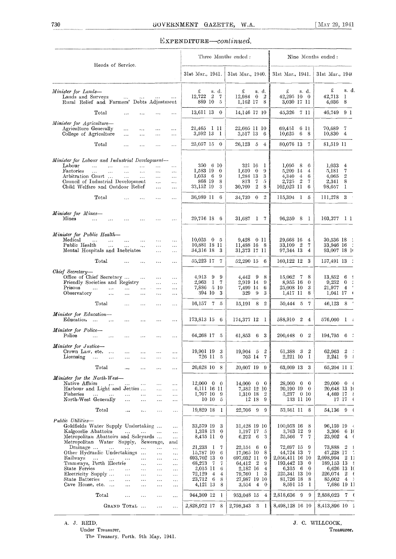## EXPENDITURE-continued.

|                                                                                                                                                                                                                                                                                                                                                                                                                           |                                                                                               |                                                                                                                                                                                       | Three Months ended:                                                                                                                                                                                     | Nine Months ended:                                                                                                                                              |                                                                                                                                                             |
|---------------------------------------------------------------------------------------------------------------------------------------------------------------------------------------------------------------------------------------------------------------------------------------------------------------------------------------------------------------------------------------------------------------------------|-----------------------------------------------------------------------------------------------|---------------------------------------------------------------------------------------------------------------------------------------------------------------------------------------|---------------------------------------------------------------------------------------------------------------------------------------------------------------------------------------------------------|-----------------------------------------------------------------------------------------------------------------------------------------------------------------|-------------------------------------------------------------------------------------------------------------------------------------------------------------|
| Heads of Service.                                                                                                                                                                                                                                                                                                                                                                                                         |                                                                                               | 31st Mar., 1941.                                                                                                                                                                      | 31st Mar., 1940.                                                                                                                                                                                        | 31st Mar., 1941.                                                                                                                                                | 31st Mar., 1940                                                                                                                                             |
| Minister for Lands-<br>Lands and Surveys<br>$\Delta \Delta \Delta$<br>$\ldots$<br>$\ldots$<br>Rural Relief and Farmers' Debts Adjustment                                                                                                                                                                                                                                                                                  | $\ldots$                                                                                      | £<br>s. d.<br>12,722<br>$\overline{2}$<br>-7<br>889 10 5                                                                                                                              | £<br>s. d.<br>12,984<br>$\bf{0}$<br>2<br>$1,162$ 17 8                                                                                                                                                   | £<br>s. d.<br>42,295 10 0<br>3,030 17 11                                                                                                                        | £<br>s. d.<br>42,713<br>-1<br>8<br>$4{,}036$                                                                                                                |
| Total<br>$\cdots$<br>$\ddotsc$<br>$\cdots$                                                                                                                                                                                                                                                                                                                                                                                | $\cdots$                                                                                      | 13,611 13 0                                                                                                                                                                           | 14,146 17 10                                                                                                                                                                                            | 45,326 7 11                                                                                                                                                     | 46,749 9 1                                                                                                                                                  |
| Minister for Agriculture-<br>Agriculture Generally<br>$\ldots$<br>$\ddotsc$<br>$\cdots$<br>College of Agriculture<br>$\ldots$<br>$\ddotsc$<br>$\cdots$                                                                                                                                                                                                                                                                    | $\cdots$<br>$\sim$ $\sim$                                                                     | 21,465 I II<br>3,592 13 1                                                                                                                                                             | 22,605 11 10<br>3,517 13 6                                                                                                                                                                              | 69,451<br>6 11<br>10,625<br>6 8                                                                                                                                 | 70,689 7<br>10,830 4                                                                                                                                        |
| Total<br>$\ddotsc$<br>$\cdots$<br>$\ddotsc$                                                                                                                                                                                                                                                                                                                                                                               | $\ddotsc$                                                                                     | $25,057$ 15 0                                                                                                                                                                         | 26,123 5<br>$\overline{4}$                                                                                                                                                                              | 80,076 13 7                                                                                                                                                     | 81,519 11                                                                                                                                                   |
|                                                                                                                                                                                                                                                                                                                                                                                                                           |                                                                                               |                                                                                                                                                                                       |                                                                                                                                                                                                         |                                                                                                                                                                 |                                                                                                                                                             |
| Minister for Labour and Industrial Development-<br>Labour<br>$\cdots$<br>$\cdots$<br>$\cdots$<br>$\ldots$<br>$\ldots$<br>Factories<br>$\ddotsc$<br>$\ddotsc$<br>$\ddotsc$<br>$\mathcal{L}_{\mathbf{a},\mathbf{b},\mathbf{c}}$<br>$\ldots$<br>Arbitration Court<br>$\mathbf{1}$ .<br>$\sim 10$<br>$\cdots$<br>Conneil of Industrial Development<br>$\cdots$<br>Child Welfare and Ontdoor Relief<br>$\cdots$                | $\ldots$<br>$\ldots$<br>$\ldots$<br>$\ddotsc$<br>$\ldots$                                     | 350 6 10<br>1,583 19<br>$\bf{0}$<br>1,033<br>- 6<br>9<br>868 19<br>8<br>33,152 19<br>3                                                                                                | 321 16<br>-1<br>1,610<br>$\theta$<br>9<br>1,284 13<br>3<br>7<br>813<br>5<br>$\overline{2}$<br>30,709<br>8                                                                                               | 1.095<br>8<br>6<br>5,209 14<br>4<br>4,340<br>$\overline{4}$<br>6<br>$\overline{2}$<br>2,725<br>7<br>102,023 11<br>6                                             | 1,033<br>4<br>$\overline{7}$<br>5,181<br>4,065<br>$\boldsymbol{2}$<br>8<br>2,341<br>98,657<br>-1                                                            |
| Total<br>$\ddotsc$<br>$\ddotsc$<br>$\cdots$                                                                                                                                                                                                                                                                                                                                                                               | $\ldots$                                                                                      | 36,989 11 6                                                                                                                                                                           | $\overline{2}$<br>34,739<br>$\bf{0}$                                                                                                                                                                    | 115,394 1 5                                                                                                                                                     | 111,278 3                                                                                                                                                   |
| Minister for Mines-<br>Mines<br>.<br>$\cdots$                                                                                                                                                                                                                                                                                                                                                                             |                                                                                               | 29,716 18 6                                                                                                                                                                           | 31,687 1 7                                                                                                                                                                                              | 96.259 8 1                                                                                                                                                      | $103,377$ 1 1                                                                                                                                               |
| Minister for Public Health-<br>Medical<br>$\dddotsc$<br>$\cdots$<br>$\ddotsc$<br>$\ddotsc$<br>$\ddotsc$<br>Public Health<br>$\cdots$<br>$\ldots$<br>$\ldots$<br>$\sim$ $\sim$ $\sim$<br>Mental Hospitals and Inebriates<br>$\ddotsc$                                                                                                                                                                                      | $\ddotsc$<br>$\ddotsc$<br>.                                                                   | $10,025$ 0 5<br>10,881 18 11<br>34,316 18 3                                                                                                                                           | 9,428 0 11<br>11,488 16 8<br>31,373 17 11                                                                                                                                                               | 29,668 16<br>4<br>33,109 2<br>7<br>97,344 13<br>$\frac{4}{x}$                                                                                                   | 30,536 18<br>33,946 16<br>93,007 18 10                                                                                                                      |
| Total<br>$\ddotsc$<br>$\ddotsc$<br>$\ddotsc$                                                                                                                                                                                                                                                                                                                                                                              | $\ldots$                                                                                      | 55,223 17<br>-7                                                                                                                                                                       | 52,290 15 6                                                                                                                                                                                             | 160,122 12<br>3                                                                                                                                                 | 157,491 13 :                                                                                                                                                |
| Chief Secretary-<br>Office of Chief Secretary<br>$\sim$ $\sim$<br>$\cdots$<br>Friendly Societies and Registry<br>222<br>Prisons<br>$\cdots$<br>$\cdots$<br>$\ldots$<br>$\cdots$<br>Observatory<br>$\ldots$<br>$\ldots$<br>$\ldots$<br>$\ddotsc$                                                                                                                                                                           | $\ldots$<br>$\cdots$<br>$\cdots$<br>$\cdots$                                                  | 4.913<br>9<br>-9<br>2,963<br>1<br>- 7<br>7,886 5 10<br>394 10<br>3                                                                                                                    | 4,442<br>9<br>8<br>2,919 14<br>-9<br>7,499 14<br>6<br>329<br>$\cdot$ 9<br>3                                                                                                                             | 15,062 7<br>8<br>8,955 16<br>$\bf{0}$<br>25,008 10<br>3<br>1,417 II<br>8                                                                                        | 13,852<br>6<br>9,252<br>$\mathbf 0$<br>21,977<br>$\overline{4}$<br>1,041 17                                                                                 |
| Total<br>$\cdots$<br>$\ddotsc$<br>$\cdots$                                                                                                                                                                                                                                                                                                                                                                                | $\cdots$                                                                                      | $16,157$ 7 5                                                                                                                                                                          | $15,191$ 8<br>$\overline{2}$                                                                                                                                                                            | 50,444 5<br>7                                                                                                                                                   | 8<br>46,123                                                                                                                                                 |
| Minister for Education-<br>Education<br>$\cdots$<br>$\ddotsc$<br>$\cdots$<br>$\cdots$                                                                                                                                                                                                                                                                                                                                     | .                                                                                             | 173,813 15 6                                                                                                                                                                          | 174,377 12 1                                                                                                                                                                                            | 588,910 2<br>4                                                                                                                                                  | $576,060$ l :                                                                                                                                               |
| <b>Minister for Police-</b><br>Police<br>$\ldots$<br>$\ddotsc$<br>$\cdots$<br>$\cdots$                                                                                                                                                                                                                                                                                                                                    | .                                                                                             | 64,268 17 5                                                                                                                                                                           | 61,853<br>$6 -$<br>3                                                                                                                                                                                    | 200,448<br>$0\quad 2$                                                                                                                                           | $194,795$ 6 :                                                                                                                                               |
| <b>Minister</b> for Justice-<br>Crown Law, ete.<br>$\cdots$<br>Licensing<br>$\ddotsc$<br>$\cdots$<br>                                                                                                                                                                                                                                                                                                                     | $\ddotsc$<br>$\ddotsc$                                                                        | 19,901 19<br>3<br>726 II<br>-5                                                                                                                                                        | 19,904 5<br>$\overline{2}$<br>703 14<br>-7                                                                                                                                                              | 61,388<br>-3<br>2<br>2,221 10<br>-1                                                                                                                             | 62,963<br>2<br>- 1<br>2,241<br>9<br>$\mathcal{L}$                                                                                                           |
| Total<br>$\ddotsc$<br>$\cdots$<br>$\ddotsc$                                                                                                                                                                                                                                                                                                                                                                               | $\cdots$                                                                                      | 20,628 10<br>8                                                                                                                                                                        | 20,607 19<br>9                                                                                                                                                                                          | 63,609 13<br>-3                                                                                                                                                 | 65,204 II I                                                                                                                                                 |
| <b>Minister for the North-West-</b><br>Native Affairs<br>$\ldots$<br>$\cdots$<br>$\cdots$<br>Harbour and Light and Jetties<br>$\mathcal{L}_{\mathcal{A},\mathcal{A}}$<br>Fisheries<br>.<br>$\ddotsc$<br>$\cdots$<br>North-West Generally<br>$\ddotsc$<br>$\ddotsc$<br>$\ddotsc$                                                                                                                                           | $\ldots$<br>$\ldots$<br>$\cdots$<br>$\cdots$                                                  | $12,000 \quad 0 \quad 0$<br>6,111 16 11<br>1,707 10<br>- 9<br>$10\,10$<br>-5                                                                                                          | $14,000 \quad 0$<br>$\bf{0}$<br>7,382 12 10<br>$\overline{2}$<br>1,310 18<br>12 18<br>9                                                                                                                 | 28,000 0<br>$\mathbf{0}$<br>20,190 19 0<br>5,237 0 10<br>133 11 10                                                                                              | $29,000 \quad 0 \quad ($<br>20,648 13 10<br>4,469 17 $\{$<br>$17 \t17 \t($                                                                                  |
| Total<br>$\cdots$<br>$\ddotsc$<br>$\cdots$                                                                                                                                                                                                                                                                                                                                                                                | $\ldots$                                                                                      | 19,829 18 1                                                                                                                                                                           | 22,706 9<br>-9                                                                                                                                                                                          | 53,561 11 8                                                                                                                                                     | 54,136 9 0                                                                                                                                                  |
| Public Utilities-<br>Goldfields Water Supply Undertaking<br>Kalgoorlie Abattoirs<br>$\ddots$<br>$\cdots$<br>Metropolitan Abattoirs and Saleyards<br>Metropolitan Water Supply, Sewerage,                                                                                                                                                                                                                                  | $\ldots$<br>$\cdots$<br>$\ldots$<br>and                                                       | 33,579 19<br>3<br>1,318 13<br>$\bf{0}$<br>8,435 11<br>$\bf{0}$                                                                                                                        | 31,428 19 10<br>1,197 17<br>5<br>6,272<br>-6<br>3                                                                                                                                                       | $100,053$ 16<br>8<br>3,763 12<br>9<br>25,566<br>- 7<br>7                                                                                                        | $96,159$ 19 $\leftarrow$<br>3,306 6 10<br>23,902<br>4 <sub>6</sub>                                                                                          |
| Drainage<br>.<br>$\cdots$<br>$\ddotsc$<br>Other Hydraulic Undertakings<br>$\ddotsc$<br>Railways<br>$\ldots$<br>$\ldots$<br>$\ldots$<br>Tramways, Perth Electric<br>$\ddotsc$<br>$\ddotsc$<br>State Ferries<br>$\ldots$<br>$\ddotsc$<br>$\ldots$<br><br>Electricity Supply<br>$\cdots$<br>$\cdots$<br>.<br>State Batteries<br>$\sim$ .<br>$\cdots$<br>$\ldots$<br>$\ldots$<br>Cave House, etc.<br>$\ldots$<br>$\cdots$<br> | $\ldots$<br>$\ddotsc$<br>$\cdots$<br>$\ldots$<br>$\cdots$<br>$\cdots$<br>$\cdots$<br>$\ldots$ | 21,233 1<br>7<br>15,787 10<br>6<br>693,702 13<br>$\bf{0}$<br>68,273<br>- 7<br>$\overline{7}$<br>2,015 II<br>6<br>72,129<br>$\overline{4}$<br>4<br>23,712<br>- 6<br>8<br>4,121 13<br>8 | 22,154 6<br>$\mathbf{0}$<br>8<br>17,065 10<br>697,032 11<br>0<br>64,412<br>$\mathbf{2}$<br>9<br>2,182 16<br>$\overline{4}$<br>3<br>79,760<br>- 1<br>27,987 19 10<br>3,554<br>$\overline{4}$<br>$\theta$ | 72,697 15<br>-9<br>44,724 13<br>7<br>2,056,411 16 10<br>193,442 13<br>$\bf{0}$<br>6,315 6<br>$\mathbf{0}$<br>225,341 13 10<br>81,726 18<br>-8<br>8,591 15<br>-1 | 73,888<br>$\overline{2}$<br>-1<br>47,228 17<br>- 5<br>2,098,994 2 1<br>189,153 13 {<br>6,626 13 IO<br>$2 \epsilon$<br>226,074<br>85,002<br>4<br>7,686 19 11 |
| Total<br>$\cdots$<br>$\ddotsc$<br>$\ddotsc$                                                                                                                                                                                                                                                                                                                                                                               | $\cdots$                                                                                      | 944,309 12<br>- 1                                                                                                                                                                     | 953,048 15 4                                                                                                                                                                                            | 2,818,636 9<br>-9                                                                                                                                               | $2,858,023$ 7 (                                                                                                                                             |
| GRAND TOTAL<br>$\cdots$                                                                                                                                                                                                                                                                                                                                                                                                   | $\ldots$                                                                                      | 2,828,972 17 8                                                                                                                                                                        | 2,798,343 3 1                                                                                                                                                                                           | 8,498,128 16 10                                                                                                                                                 | 8,413,896 10 2                                                                                                                                              |

A. J. REID, J. C. WILLCOCK, Treasurer, Treasurer, Treasurer, Treasurer, Treasurer, Treasurer, Treasurer, Treasurer, Treasurer, Treasurer, Treasurer, Treasurer, Treasurer, Treasurer, Treasurer, Treasurer, Treasurer, Treasur Under Treasurer, Treasurer, Treasurer, Treasurer, Treasurer, Treasurer, Treasurer, Treasurer, Treasurer, Treasurer, Treasurer, Treasurer, Treasurer, Treasurer, Treasurer, Treasurer, Treasurer, Treasurer, Treasurer, Treasur The Treasury. Perth, 9th May, 1941.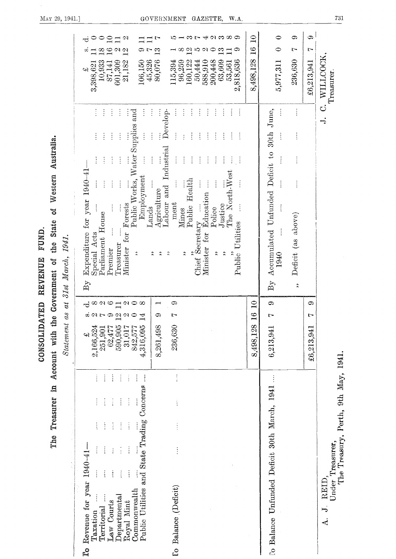|                                                                                                                                                                                                                     | $\boldsymbol{u}$<br>as<br>$Statement$                                                                                                                         | 31st March, 1941.                                                                                                                                                                                                                                                                                                                                                                                                                        |                                                                                                                                                                                                                                         |
|---------------------------------------------------------------------------------------------------------------------------------------------------------------------------------------------------------------------|---------------------------------------------------------------------------------------------------------------------------------------------------------------|------------------------------------------------------------------------------------------------------------------------------------------------------------------------------------------------------------------------------------------------------------------------------------------------------------------------------------------------------------------------------------------------------------------------------------------|-----------------------------------------------------------------------------------------------------------------------------------------------------------------------------------------------------------------------------------------|
| $\vdots$<br>Public Utilities and State Trading Concerns<br>$\vdots$<br>ĵ.<br>$\vdots$<br>1940-41<br>уеат<br>Commonwealth<br>Departmental<br>Revenue for<br>Law Courts<br>Royal Mint<br>Territorial<br>Taxation<br>ු | $\infty \cap \infty$ $\square \cap \infty$<br>∞<br>agrogao<br>14<br>$2,166,524$<br>$251,901$<br>$62,477$<br>$590,905$<br>4,316,095<br>31,017<br>842,577<br>پې | Î<br>ŧ<br>$\vdots$<br>Public Works, Water Supplies and<br>$\vdots$<br>$\frac{1}{2}$<br>$\vdots$<br>$\vdots$<br>$\vdots$<br>÷<br>ŧ<br>÷<br>Expenditure for year 1940-41<br>$\rm{Employment}$<br>$\vdots$<br>$\vdots$<br>$\frac{1}{2}$<br>Forests<br>Lands<br>Parliament House<br>Special Acts<br>for<br>Treasurer<br>Minister<br>Premier<br>$\ddot{\phantom{0}}$<br>$\mathbf{B}\mathbf{y}$                                                | $\Omega$<br>$\mathcal{Q}$<br>⇨<br>$\circ$<br>$\equiv$<br>ರ<br>$\mathbf{e}$<br>$\omega$<br>$\overline{12}$<br>っト<br>$\frac{\infty}{\infty}$<br>w<br>106,150<br>45,326<br>21,182<br>601,309<br>$\frac{10,933}{87,141}$<br>3,398,621<br>ڍپ |
| $\vdots$<br>$\vdots$<br>$\ddot{\cdot}$<br>Io Balance (Deficit)                                                                                                                                                      | ౧<br>┯<br>යා<br>r<br>8,261,498<br>236,630                                                                                                                     | $\vdots$<br>÷<br>Develop-<br>$\frac{1}{2}$<br>Labour and Industrial<br>$\vdots$<br>$\vdots$<br>Public Health<br>$\vdots$<br>Agriculture<br>ment<br>Mines<br>$\ddot{\phantom{0}}$<br>$\ddot{\phantom{0}}$<br>$\ddot{\phantom{0}}$<br>$\ddot{\phantom{0}}$                                                                                                                                                                                 | 10<br>L<br>$\overline{\omega}$ 10<br>$\mathbf{E}$<br>$\infty$<br>80,076<br>115,394<br>96,259<br>160,122                                                                                                                                 |
|                                                                                                                                                                                                                     |                                                                                                                                                               | $\vdots$<br>$\vdots$<br>$\vdots$<br>$\vdots$<br>$\vdots$<br>$\vdots$<br>$\ddot{\ddot{\cdot}}$<br>$\vdots$<br>÷<br>$\vdots$<br>$\vdots$<br>$\vdots$<br>$\vdots$<br>$\ddot{\cdot}$<br>$\vdots$<br>$\vdots$<br>$\vdots$<br>$\vdots$<br>The North-West<br>$\ddot{\ddot{\cdot}}$<br>$\ddot{.}$<br>Education<br>Justice<br>Police<br>į.<br>Public Utilities<br>Chief Secretary<br>Minister for<br>$\ddot{\phantom{0}}$<br>$\ddot{\phantom{0}}$ | $-100 - 401000$<br>౧<br>Ģ<br>$\mathfrak{a}$<br>$\circ$<br>$\mathbf{E}$<br>$\mathbf{I}$<br>2,818,636<br>200,448<br>50,444<br>588,910<br>63,609<br>53,561                                                                                 |
|                                                                                                                                                                                                                     | $\overline{\mathbf{10}}$<br>$\frac{6}{1}$<br>8,498,128                                                                                                        |                                                                                                                                                                                                                                                                                                                                                                                                                                          | $\mathbf{Q}$<br>$\frac{6}{1}$<br>8,498,128                                                                                                                                                                                              |
| l'o Balance Unfunded Deficit 30th March, 1941                                                                                                                                                                       | ග<br>r<br>6,213,941                                                                                                                                           | Accumulated Unfunded Deficit to 30th June,<br>1940<br>$\mathrm{B}\mathrm{y}$                                                                                                                                                                                                                                                                                                                                                             | ⊂<br>5,977,311                                                                                                                                                                                                                          |
|                                                                                                                                                                                                                     | 0<br>r<br>£6,213,941                                                                                                                                          | $\vdots$<br>$\vdots$<br>$\vdots$<br>$\vdots$<br>Deficit (as above)<br>$\ddot{\phantom{0}}$                                                                                                                                                                                                                                                                                                                                               | $\mathbf{C}$<br>යා<br>Ļ<br>Ŀ<br>236,630<br>£6,213,941                                                                                                                                                                                   |
| The Treasury, Perth, 9th May, 1941.<br>Under Treasurer,<br>REID,<br>$\overline{\phantom{a}}$<br>$\mathbf{A}$ .                                                                                                      |                                                                                                                                                               | S<br>$\div$                                                                                                                                                                                                                                                                                                                                                                                                                              | WILLCOCK<br>Treasurer                                                                                                                                                                                                                   |

MAY 29, 1941.]

CONSOLIDATED REVENUE FUND.

GOVERNMENT GAZETTE, W.A.

 $731$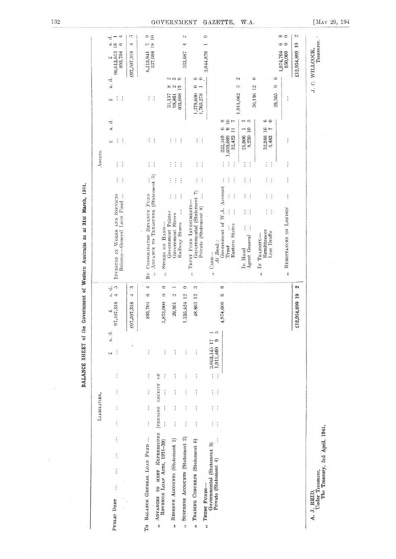|                                                                                     |                           | LIABILITIES.               |                                |                      |                                 |                            |                                 | Assers.                                                                                                                                                                                                                                |                                               |                                              |
|-------------------------------------------------------------------------------------|---------------------------|----------------------------|--------------------------------|----------------------|---------------------------------|----------------------------|---------------------------------|----------------------------------------------------------------------------------------------------------------------------------------------------------------------------------------------------------------------------------------|-----------------------------------------------|----------------------------------------------|
| $\vdots$<br>$\vdots$<br>$\vdots$<br>$\vdots$<br>PUBLIC DEBT                         | $\frac{1}{2}$             | $\vdots$                   | $\vdots$                       | İ                    | $\frac{1}{2}$<br>$\vdots$<br>Щ  | ,507,318<br>$\omega$<br>57 | $\mathfrak{c}$<br>ŧ<br>i.<br>÷  | İ<br>$\frac{1}{2}$<br>ب<br>$\vec{v}$<br>s.<br>$\mathbb{E}_1$<br>÷<br>(پ<br>÷<br>÷<br>İ<br>$\frac{1}{2}$<br>INVESTED IN WORKS AND SERVICES<br>Balance—General Loan Fund                                                                 | 96,613,613<br>893,704<br>إن)<br>$\frac{1}{2}$ | $\vec{r}$<br>÷,<br>$\frac{3}{18}$<br>$\circ$ |
|                                                                                     |                           |                            |                                |                      |                                 | ,507,318<br>297            | ìО,<br>+                        |                                                                                                                                                                                                                                        | £97,507,318                                   | ıο<br>+                                      |
| TO BALANCE GENERAL LOAN FUND                                                        | $\vdots$                  | $\vdots$                   | $\vdots$                       | $\vdots$             | $\vdots$                        | 893,704                    | 4<br>G                          | İ<br>$\frac{1}{2}$<br>$\vdots$<br>$\vdots$<br>÷.<br>İ<br>ADVANCE TO TREASURER (Statement 5)<br>$\vdots$<br>By CONSOLIDATED REVENUE FUND<br>$\ddot{z}$                                                                                  | 337,688<br>6,213,941                          | $\frac{1}{2}$<br>$\frac{1}{2}$<br>Ļ,         |
| ADVANCES TO MEET EXPENDITURE<br>REVENUE LOAN ACTS, 1931-39)<br>$\ddot{\phantom{0}}$ | $\vdots$                  | $\vdots$                   | TENNING REGEIPT OF<br>$\vdots$ | $\vdots$             | $\vdots$                        | ,873,000<br>γĢ             | $\circ$<br>$\ddot{\phantom{0}}$ | STORES ON HAND-<br>$\ddot{\tilde{z}}$                                                                                                                                                                                                  |                                               |                                              |
| RESERVE ACCOUNTS (Statement 1)<br>$\ddot{ }$                                        | j                         |                            |                                |                      | $\vdots$                        | 29,361                     | Φţ                              | $\begin{array}{c} 31{,}157 \\ 98{,}861 \\ 403{,}668 \end{array}$<br>÷<br>÷<br>$\vdots$<br>$\frac{1}{2}$<br>$\vdots$<br>İ<br>$\vdots$<br>$\vdots$<br>Government Printer<br>Government Stores                                            | ဂၢ က တ<br>တေလည                                |                                              |
| SUSPENSE ACCOUNTS (Statement 2)<br>$\ddot{ }$                                       | Í                         |                            |                                |                      | $\vdots$                        | $1,135,424$ 12             | $\bullet$                       | $\vdots$<br>÷<br>Ġ<br>$\vdots$<br>Î<br>Railway Stores                                                                                                                                                                                  | 533,687                                       | 21                                           |
| TRADING CONCERNS (Statement 6)<br>$\ddot{\cdot}$                                    | $\ddot{.}$                | İ                          | $\vdots$                       | $\vdots$             | $\vdots$                        | 48,803 12                  | ¢,                              | 1,279,600<br>1,765,278<br>$\vdots$<br>$\ddot{\cdot}$<br>$\vdots$<br>İ<br>Governmental (Statement 7)<br>TRUST FUND INVESTMENTS-<br>Private (Statement 8)<br>$\ddot{\tilde{z}}$                                                          | $\circledcirc$<br>$\bullet$                   |                                              |
| Governmental (Statement 3)<br>" TRUST FUNDS-                                        |                           |                            |                                |                      | 3,063,145 17                    |                            |                                 | $\vdots$<br>$\frac{1}{2}$<br>$\frac{1}{2}$<br>C <sub>ASH</sub>                                                                                                                                                                         | 3,044,878                                     | ¢                                            |
| $\vdots$<br>Private (Statement 4)                                                   | $\frac{1}{2}$<br>$\vdots$ | $\ddot{\cdot}$<br>$\vdots$ | $\vdots$<br>$\vdots$           | $\vdots$<br>$\vdots$ | $\rightarrow$<br>¢<br>1,911,460 | 1,974,606                  | G<br>$\circ$                    | $\cong$<br>೦<br>r,<br>$\ddot{\circ}$<br>అ<br>$\equiv$<br>32,423<br>223,549<br>1,659,089<br>İ<br>$\vdots$<br>İ<br>$\ddot{.}$<br>Government of W.A. Account<br>$\vdots$<br>$\vdots$<br><b>Eastern States</b><br>$At$ Bank:<br>Trust<br>ċ |                                               |                                              |
|                                                                                     |                           |                            |                                |                      |                                 |                            |                                 | 1,915,062<br>$\frac{1}{2}$<br>÷<br>$\vdots$<br>$\ddot{\cdot}$                                                                                                                                                                          | Ç,<br>ì0                                      |                                              |
|                                                                                     |                           |                            |                                |                      |                                 |                            |                                 | 30,136 12<br>r ro<br>$\begin{array}{cc} 21,906 & 1 \\ 8,230 & 10 \end{array}$<br>$\ddot{\cdot}$<br>$\ddot{\ddot{\cdot}}$<br>÷<br>÷<br>$\ddot{\cdot}$<br>$\vdots$<br>÷<br>İ<br>$\vdots$<br>ĵ.<br>Agent General<br>In Hand               | $\Rightarrow$                                 |                                              |
|                                                                                     |                           |                            |                                |                      |                                 |                            |                                 | ⇔<br>$\circ$<br>32,988 16<br>3.483 7<br>İ<br>$\vdots$<br>İ<br>÷<br>÷<br>$\ddot{\cdot}$<br>Ì.<br>$\vdots$<br>Remittances<br>Less Drafts<br>IN TRANSITU-<br>ż,                                                                           |                                               |                                              |
|                                                                                     |                           |                            |                                |                      |                                 |                            |                                 | 29,505<br>$\vdots$<br>$\vdots$<br>$\vdots$<br>$\vdots$<br>$\vdots$<br>REMITTANCES TO LONDON<br>¢,                                                                                                                                      | $1,974,704850,000$<br>¢<br>¢                  | ∞⇔<br>అ ⇔                                    |
|                                                                                     |                           |                            |                                |                      |                                 | £12,954,899 19             | C)                              |                                                                                                                                                                                                                                        | £12,954,899                                   | ۵ì<br>$\mathbf{e}$                           |
| Under Treasurer,<br>The Treasury, 3rd April, 1941.<br>A. J. REID,                   |                           |                            |                                |                      |                                 |                            |                                 |                                                                                                                                                                                                                                        | J. C. WILLCOCK,                               | Treasurer.                                   |

BALANCE SHEET of the Government of Western Australia as at 31st March, 1941.

 $\sim 10^{11}$ 

732

#### GOVERNMENT GAZETTE.  $W.A$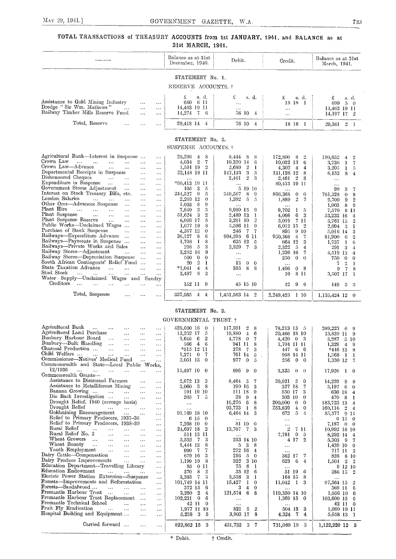## TOTAL TRANSACTIONS of TREASURY ACCOUNTS from 1st JANUARY, 4941. and BALANCE as a 31st MARCH, 1941.

|                                                                                                                                                            | Balance as at 31st<br>December, 1940.                        | Debit.                                                 | Credit.                                          | Balance as at 31st<br>March, 1941.                     |
|------------------------------------------------------------------------------------------------------------------------------------------------------------|--------------------------------------------------------------|--------------------------------------------------------|--------------------------------------------------|--------------------------------------------------------|
|                                                                                                                                                            | STATEMENT No. 1.                                             |                                                        |                                                  |                                                        |
|                                                                                                                                                            | RESERVE ACCOUNTS. †                                          |                                                        |                                                  |                                                        |
| Assistance to Gold Mining Industry<br>$\cdots$<br>$\ddotsc$<br>Dredge "Sir Wm. Mathews"<br>$\cdots$<br>$\ddotsc$<br>.<br>Railway Timber Mills Reserve Fund | £<br>s. d.<br>680 6 11<br>14,463 19 11                       | £<br>s. d.<br>$\ddotsc$                                | £<br>s. d.<br>18 18 1<br>$\cdots$                | £<br>s. d.<br>699<br>- 5<br>- 0<br>14,463 19 11        |
| $\cdots$<br>$\cdots$                                                                                                                                       | $14,274$ 7 6                                                 | 76 10 4                                                | $\ddotsc$                                        | 14,197 17 2                                            |
| Total, Reserve<br>$\ddotsc$<br>$\ddotsc$<br>.                                                                                                              | 29,418 14 4                                                  | 76 10 4                                                | 18 18 1                                          | 29,361 2 1                                             |
|                                                                                                                                                            | STATEMENT No. 2.<br>SUSPENSE ACCOUNTS. †                     |                                                        |                                                  |                                                        |
| Agricultural Bank-Interest in Suspense<br>$\cdots$                                                                                                         | 26,296 4<br>8                                                | 8,444 8<br>-8                                          | 172,800 8<br>$\overline{2}$                      | 190,652<br>$\Omega$<br>$\overline{4}$                  |
| Crown Law<br><b>Contract Contract Contract</b><br>$\sim$ .<br>$\sim 100$ and $\sim 100$<br>$\ldots$<br>$\ddotsc$                                           | $4,034$ 2<br>$\overline{7}$                                  | 10.320 14<br>-6                                        | 10.022 13<br>6                                   | 3,736<br>-1<br>7                                       |
| Crown Law—Advance<br>$\ldots$<br>$\ddotsc$<br>$\ddotsc$<br>$\cdots$                                                                                        | 1,591 19 2                                                   | 2,689<br>$\overline{2}$<br>-1                          | $4,302 \quad 4$<br>4                             | 3.205<br>$\mathbf{I}$<br>-5                            |
| Departmental Receipts in Suspense<br>$\ddotsc$<br>$\ddotsc$<br>Dishonoured Cheques<br><b>Contractor</b><br>$\ldots$<br>$\sim$ $\sim$                       | 22,148 18 11                                                 | 3<br>147,133<br>3<br>2,461<br>$\overline{2}$<br>-3     | 131,136 12<br>8<br>2,461 2<br>- 3                | 6.152<br>8<br>$\overline{4}$                           |
| $\ldots$<br>Expenditure in Suspense<br>$\cdots$<br>$\ldots$<br>$\ldots$                                                                                    |                                                              |                                                        | 80,413 19 11                                     | $\sim$ $\sim$<br>$\cdots$                              |
| Government Stores Adjustment<br>$\cdots$<br>$\ldots$<br>$\cdots$                                                                                           | 3<br>105<br>-5                                               | 5 19 10                                                |                                                  | 99<br>3<br>-7                                          |
| Interest on Stock Treasury Bills, etc.<br>$\ddotsc$<br>$\ddotsc$                                                                                           | 244,527<br>- 9<br>-5                                         | 349,567<br>8<br>-9                                     | 866,368<br>$\theta$<br>$\theta$                  | 761,328<br>$\Omega$<br>8                               |
| London Salaries<br>$\sim 10^{-1}$<br>$\sim 100$<br>$\cdots$<br>$\cdots$<br>$\cdots$                                                                        | 2,203 12<br>$\bf{0}$                                         | 1,392 5<br>$\sqrt{5}$                                  | $\sqrt{2}$<br>1,889<br>$\mathbf 7$               | 2,700<br>$\overline{2}$<br>-9                          |
| Other Ores-Advances Suspense<br>$\ldots$<br>$\ddotsc$<br>$\ddot{\phantom{a}}$<br>Plant Hire<br>$\mathbf{r}$ and $\mathbf{r}$<br>$\sim 100$<br>$\sim$       | 1.003<br>8<br>9<br>7,849<br>3<br>3                           | .<br>9,980 15<br>-9                                    | 9.702<br>$\mathbf{I}$                            | 1,003<br>8<br>9                                        |
| $\ddotsc$<br>$\cdots$<br>$\ddotsc$<br>Plant Suspense<br>$\sim$ . $\sim$<br>$\sim$<br>$\ddotsc$<br>$\ddotsc$<br>$\cdots$                                    | 51,624<br>3<br>$\boldsymbol{2}$                              | 2,489 13<br>-1                                         | -5<br>6<br>4,098<br>3                            | 7,570 8 11<br>53,232 16<br>4                           |
| Plant Suspense Reserve<br>$\ddotsc$<br>$\cdots$<br>$\ddotsc$<br>$\ddotsc$                                                                                  | 6,003 17<br>5                                                | $\overline{2}$<br>3.261 10                             | $3{,}019$<br>- 7-11                              | 5,761 15<br>$\overline{2}$                             |
| Public Works—Unclaimed Wages<br>$\cdots$<br>$\ddotsc$                                                                                                      | 1,677 19<br>8                                                | 5,596 11<br>$\Omega$                                   | 6.012 15 2                                       | $2,094$ 3<br>1                                         |
| Purchase of Stock Suspense<br>$\ddots$<br>$\ldots$<br>$\cdots$                                                                                             | 4,367 12<br>$\theta$                                         | 246<br>- 7<br>7                                        | 895 9 10                                         | 5,016 14<br>3                                          |
| Railways-Expenditure Advance<br>$\ddotsc$<br>$\cdots$                                                                                                      | 8<br>36.127<br>6                                             | - 6<br>904,595<br>-11                                  | 950,368<br>$-4$<br>-7                            | 81,900 6<br>$\mathbf{2}$                               |
| Railways-Payments in Suspense<br>$\ldots$<br>$\ddotsc$<br>Railways—Private Works and Sales                                                                 | -1<br>8<br>1,708                                             | 635 12<br>-5                                           | 664 12<br>-3                                     | 1,737<br>$\mathbf{I}$<br>6                             |
| $\ddots$<br>$\ddotsc$<br>Railway Stores-Adjustment<br>$\sim 100$<br>$\ddotsc$<br>$\cdots$                                                                  | 298<br>- 5<br>3<br>9<br>3,282 16                             | 2,329<br>$\overline{7}$<br>3                           | 2,322<br>- 5<br>$\overline{4}$<br>1,236 16<br>-7 | 291<br>- 3<br>$\overline{4}$                           |
| Railway Stores—Depreciation Suspense<br>$\cdots$                                                                                                           | 500<br>$\mathbf{0}$<br>$\theta$                              | $\ddotsc$<br>$\ddotsc$                                 | 250<br>$\overline{0}$<br>$\theta$                | 4,519 13<br>$\overline{4}$<br>750<br>$\mathbf{0}$<br>0 |
| South African Contingents' Relief Fund<br>$\cdots$                                                                                                         | $\boldsymbol{2}$<br>20<br>-1                                 | 13<br>$\theta$<br>$\theta$                             | $\ddotsc$                                        | $\tau$<br>$\overline{2}$<br>$\mathbf{I}$               |
| State Taxation Advance<br>$\ddotsc$<br>$\ddotsc$                                                                                                           | $*1.041$<br>$\overline{4}$<br>4                              | 355<br>8<br>-8                                         | 1.406<br>$\overline{0}$<br>- 8                   | 9<br>$\overline{7}$<br>8                               |
| Stud Stock<br><b>Section Contract</b><br>aasta tallista<br>$\ddotsc$                                                                                       | 8<br>$\overline{2}$<br>3,497                                 | $\cdots$                                               | 8 11<br>10                                       | 3,507 17<br>- 1                                        |
| Water Supply-Unclaimed Wages and Sundry<br>Creditors<br><b>Contract Contract</b><br>$\sim$ 100 $\mu$                                                       |                                                              |                                                        |                                                  |                                                        |
| $\ddotsc$<br>$\ddotsc$                                                                                                                                     | 152 11 9                                                     | 45 15 10                                               | 42<br>$9\quad 6$                                 | $149-5$<br>- 5                                         |
| Total, Suspense<br>$\cdots$<br>$\ldots$<br>$\cdots$                                                                                                        | 337,565 4<br>$\overline{4}$                                  | 1,451,563 14 2                                         | 2,249,423 1 10                                   | 1,135,424 12 0                                         |
|                                                                                                                                                            | STATEMENT No. 3.                                             |                                                        |                                                  |                                                        |
|                                                                                                                                                            | GOVERNMENTAL TRUST. †                                        |                                                        |                                                  |                                                        |
| Agricultural Bank<br><b>Carl Command</b><br>$\cdots$<br>$\cdots$<br>$\ddotsc$                                                                              | 428,600 16<br>$\theta$                                       | 117,591<br>$\overline{2}$<br>-8                        | 78,213 13 5                                      | 389,223 6 9                                            |
| Agricultural Land Purchase<br>$\cdots$<br>$\ddotsc$<br>$\ldots$                                                                                            | 13,252 17<br>- 5                                             | $\overline{4}$<br>19,880<br>6                          | 20,466 18 10                                     | 13,839 11<br>-9                                        |
| Bunbury Harbour Board<br>$\sim$ 100 $\pm$<br>$\ddotsc$<br>$\ddots$<br>                                                                                     | $3,645$ 6<br>$\overline{2}$                                  | 4,778<br>$\bf{0}$<br>-7                                | $4,420$ 0 3                                      | 3,287 5 10                                             |
| Bunbury—Bulk Handling<br>$\sim 100$<br>$\ddotsc$<br>$\ldots$<br>$\cdots$                                                                                   | 566 4 6                                                      | 941 11<br>-8                                           | 1,704 11 11                                      | $1,329$ 4<br>-9                                        |
| Charcoal Production<br>$\ddotsc$<br>$\ddotsc$<br>$\ddotsc$<br>$\ddotsc$<br>Child Welfare                                                                   | *515 12 11                                                   | 378<br>$\overline{7}$<br>3                             | 447<br>66                                        | *446 13<br>8                                           |
| $\ddotsc$<br>$\ddotsc$<br>$\ddotsc$<br>$\ddotsc$<br>Commissioner—Natives' Medical Fund<br>$\sim$<br>$\ddotsc$                                              | 1.371<br>$\overline{0}$<br>- 7<br>2,051 13<br>$\overline{0}$ | 761 14<br>5<br>$\lambda$<br>977<br>$\overline{0}$<br>5 | 958 14 11<br>256<br>$\bf{0}$<br>$\overline{0}$   | 1,568<br>$\mathbf{1}$<br>-1<br>1,330 12<br>$\tau$      |
| Commonwealth and State-Local Public Works,                                                                                                                 |                                                              |                                                        |                                                  |                                                        |
| 12/1936<br>$\mathbf{a}$<br>$\sim$ $\sim$<br>$\ddotsc$<br>$\ddotsc$<br>$\ddotsc$<br>.                                                                       | 15,497 10<br>$\bf{0}$                                        | 896<br>9<br>$\overline{0}$                             | 3,325<br>$\theta$<br>$\theta$                    | $17,926$ 1<br>$\theta$                                 |
| Commonwealth Grants-                                                                                                                                       |                                                              |                                                        |                                                  |                                                        |
| Assistance to Distressed Farmers<br>$\cdots$<br>$\ddotsc$                                                                                                  | 2,672 13<br>3                                                | $8,464$ 5<br>7                                         | 20.021 2<br>$\theta$                             | 14,229<br>-9<br>8                                      |
| Assistance to Metalliferous Mining<br>$\ldots$<br>$\ddotsc$                                                                                                | 8<br>$3,060 \quad 3$                                         | 190 16<br>3                                            | 327 18<br>- 7                                    | $3,197$ 6<br>$\theta$                                  |

| 12/1936<br>$\cdots$<br>$\sim$ $\sim$<br><br>$\cdots$<br>$\cdots$                                 | $15,497$ 10 0                    | 896<br>9 <sup>1</sup><br>$\Omega$ | 3,325<br>$0 \quad 0$                 | $17,926$ 1 0                              |
|--------------------------------------------------------------------------------------------------|----------------------------------|-----------------------------------|--------------------------------------|-------------------------------------------|
| Commonwealth Grants-                                                                             |                                  |                                   |                                      |                                           |
| Assistance to Distressed Farmers<br>$\cdots$<br>$\cdots$                                         | 2,672 13<br>3                    | $8,464$ 5<br>7                    | $\overline{2}$<br>20,021<br>$\theta$ | 14,229<br>-9<br>8                         |
| Assistance to Metalliferous Mining<br>$\cdots$<br>$\cdots$                                       | 3,060<br>3<br>8                  | 190 16                            | 327 18                               | 3,197<br>- 6<br>$\theta$                  |
| Banana Growing<br>$\cdots$<br>$\cdots$<br>$\cdots$                                               | 191 19 10                        | 111 18<br>-9                      | 550 17<br>3                          | 630 18<br>$\overline{4}$                  |
| Die Back Investigation<br>$\cdots$<br>$\cdots$<br>$\cdots$                                       | $\tilde{\mathbf{h}}$<br>205<br>7 | 38<br>9<br>4                      | 303 10<br>$\theta$                   | 470<br>- 8                                |
| Drought Relief, 1940 (acreage basis)<br>$\cdots$                                                 | $\cdots$                         | 16,276<br>6<br>8                  | 200,000<br>$\theta$<br>$\Omega$      | 183,723 13                                |
| Drought Relief<br>$\sim$ $\sim$<br>$\cdots$<br>$\cdots$<br>$\cdots$                              | $\cdots$                         | 93,723<br>8<br>$\mathbf{1}$       | 253,839<br>4<br>$\Omega$             | 160,116 2<br>$\overline{4}$               |
| Goldmining Encouragement<br>$\cdots$<br>$\cdots$<br>$\cdots$                                     | 91.169 18 10                     | 6,464 14                          | 5.<br>672                            | 85,377<br>-911                            |
| Relief to Primary Producers, 1937-38<br>$\cdots$                                                 | 6 15<br>$\Omega$                 |                                   | $\cdots$                             | $6\,15$<br>- 0                            |
| Relief to Primary Producers, 1938-39<br>$\cdots$                                                 | 7,268 10<br>0                    | 81 10 0                           | $\cdots$                             | 7,187<br>$\theta$<br>$\theta$             |
| Rural Relief<br>$\cdots$<br>$\cdots$<br>$\cdots$<br>$\cdots$<br>$\cdots$                         | 24,697 18                        | 13,707<br>7 <sup>3</sup>          | $\overline{2}$<br>7 11               | 10,992 18 10                              |
| Rural Relief No. 2<br>$\sim 10^{-1}$<br>$\cdot \cdot \cdot$<br>$\cdots$<br>$\cdots$              | 511 13 11                        | $\cdots$                          | 7,781<br>$\overline{0}$<br>-5        | 8,292 14<br>4                             |
| Wheat Growers<br>$\sim$ 100 $\sim$<br>$\cdots$<br>$\cdots$<br>$\cdots$<br>$\cdots$               | 5,552<br>3<br>-7                 | 253 14 10                         | 4 17<br>2                            | 5,303 9<br>7                              |
| Wheat Bounty<br>$\cdots$<br>$\cdots$<br>$\cdots$<br>$\cdots$                                     | 1,444 13<br>8                    | 3<br>8<br>5                       | $\cdots$                             | 1,439 10<br>$\Omega$                      |
| Youth Employment<br>$\sim 10$<br>$\cdots$<br>$\cdots$<br>$\cdots$                                | 7<br>990                         | 16<br>272<br>$\overline{4}$       | $\cdots$                             | 717 11                                    |
| Dairy Cattle-Compensation<br>$\ddotsc$<br>$\cdots$<br>$\cdots$                                   | 3<br>679 16                      | 216<br>5<br>$\Omega$              | 362 17<br>7                          | 826<br>- 8<br>-10                         |
| Dairy Produce Improvements<br>$\ddotsc$<br>$\cdots$<br>$\cdots$                                  | 1.199<br>-19<br>8                | $322\,$<br>3 10                   | 623<br>6<br>4                        | 1,501<br>$\overline{2}$<br>$\overline{2}$ |
| Education Department-Travelling Library<br>$\cdots$                                              | 85<br>011                        | 75<br>8                           | $\cdots$                             | 9 12 10                                   |
| Education Endowment<br>$\mathbf{r}$<br><b>Contract Contract Contract</b><br>$\cdots$<br>$\cdots$ | $\overline{2}$<br>8<br>370       | 35<br>12<br>-6                    | 51 19<br>-6                          | 386 15 2                                  |
| Electric Power Station Extension-Suspense<br>$\cdots$                                            | 7<br>5<br>3,393                  | 3,558<br>3                        | 164 15                               | $\cdots$                                  |
| Forests-Improvements and Reforestation<br>$\cdots$                                               | 101,749 14 11                    | 15,427<br>$\mathbf 0$             | 11,042                               | 97,364 15<br>2                            |
| Forests—Sandalwood …<br>$\ddotsc$<br>$\cdots$<br>$\cdots$<br>$\cdots$                            | 372 15<br>-6                     | 3<br>$\overline{4}$<br>$\Omega$   |                                      | 369 11<br>6                               |
| Fremantle Harbour Trust<br>$\cdots$<br><br>$\cdots$                                              | 3,280<br>2<br>4                  | 121,574<br>6<br>8                 | 119,350 14 10                        | $1,056$ 10<br>-6                          |
| Fremantle Harbour Trust Replacement<br>$\cdots$<br>$\cdots$                                      | 102,231<br>$\Omega$<br>6         | $\cdots$                          | $1,369$ 15 0                         | 103,600 15<br>-6                          |
| Fremantle Technical School<br>$\ddots$<br><br>$\cdots$                                           | $\mathbf{1}$<br>42<br>$\theta$   | $\cdots$                          |                                      | 42 11<br>$\Omega$                         |
| Fruit Fly Eradication<br>and the company of the company<br>$\sim$<br>$\cdots$                    | 1,977 11 10                      | 821<br>5<br>2                     | 3<br>504 13                          | 1,660 19 11                               |
| Hospital Building and Equipment<br>$\cdots$<br>$\cdots$                                          | 5,238<br>3<br>5                  | 3,903 17<br>-8                    | 4,324<br>$7\phantom{.0}$<br>4        | 5,658 13 1                                |
|                                                                                                  |                                  |                                   |                                      |                                           |
| Carried forward<br><br>$\cdots$                                                                  | 822,862 15<br>3                  | 431,732<br>3<br>-7                | 731,089 19<br>- 3                    | 1,122,220 12<br>-5                        |
|                                                                                                  |                                  |                                   |                                      |                                           |

\* Debit. † Credit.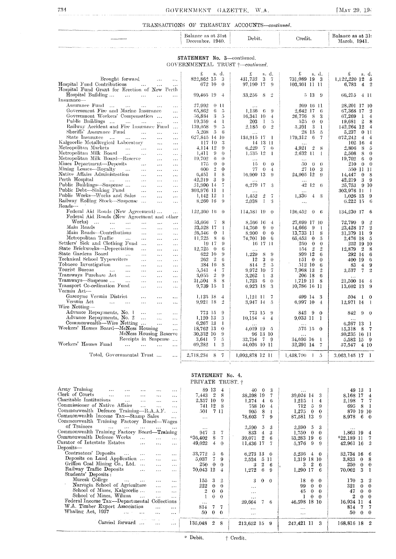## GOVERNMENT GAZETTE. W.A.

[MAY 29,  $194$ ]

## ${\tt TRANSACTIONS\;\;OF\;\;TREASURY\;\; ACCOUNTS—continued.}$

|                                                                                                                                                                                                                                      | Balance as at 31st<br>December.<br>1940. | Debit.       | $\alpha$ redit. | Balance as at 31:<br>March. 1941. |
|--------------------------------------------------------------------------------------------------------------------------------------------------------------------------------------------------------------------------------------|------------------------------------------|--------------|-----------------|-----------------------------------|
| <b>COMPARTMENT ARTISTS AND A CONSTRUCT OF A STATE OF A STATE OF A STATE AND A REPORT OF A STATE OF A STATE OF A STATE OF A STATE OF A STATE OF A STATE OF A STATE OF A STATE OF A STATE OF A STATE OF A STATE OF A STATE OF A ST</b> |                                          |              |                 |                                   |
|                                                                                                                                                                                                                                      | No.<br><b>STATEMENT</b>                  | 3—continued. |                 |                                   |

GOVERNMENTAL TRUST  $†$ -continued.

|                                                                                                     | £<br>s. d.                    | £<br>s. d.                                                       | £<br>s. d.                              | £<br>s. d.                        |
|-----------------------------------------------------------------------------------------------------|-------------------------------|------------------------------------------------------------------|-----------------------------------------|-----------------------------------|
| Brought forward<br>$\ddotsc$<br>$\ldots$                                                            | 822.862 15                    | 3<br>431,732<br>3<br>$\overline{7}$                              | 731,089 19 3                            | 1,122,220 12<br>- 5               |
| Hospital Fund Contributions<br>$\ddotsc$<br>$\ldots$<br>$\ldots$                                    | 672 10                        | $\theta$<br>97.190 17<br>-9                                      | 103,301 11 11                           | $4 \t2$<br>6.783                  |
| Hospital Fund Grant for Erection of New Perth                                                       |                               |                                                                  |                                         |                                   |
| Hospital Building<br>$\ddotsc$<br>$\ldots$<br>$\ddotsc$<br>$\cdots$                                 | 99,465 19<br>$-4$             | $\overline{2}$<br>33.256<br>-8                                   | 5 13<br>- 9                             | 66,215<br>4 11                    |
| Insurance-                                                                                          |                               |                                                                  |                                         |                                   |
| Assurance Fund<br>$\cdots$<br>$\dddotsc$<br>$\dots$<br>$\ddotsc$                                    | 27.992<br>0 11                | .                                                                | 209 16 11                               | 28,201 17 10                      |
| Government Fire and Marine Insurance<br>$\cdots$                                                    | 6<br>65,862                   | -5<br>1.136<br>-9<br>6                                           | 2.642 17<br>6                           | 67,368 17<br>$\overline{2}$       |
| Government Workers' Compensation<br>$\ldots$                                                        | 3<br>56,834                   | 5<br>16,341 10<br>$\overline{4}$                                 | 8<br>3<br>26.776                        | 1<br>$\overline{4}$<br>67,269     |
| Public Buildings<br>$\mathbf{1}$<br>$\ddotsc$<br>$\ddotsc$<br>$\ddotsc$                             | 19.359<br>$\overline{4}$      | 203<br>-1<br>-1<br>$\overline{5}$                                | 525<br>$\theta$<br>$\theta$             | $\overline{2}$<br>8<br>19,681     |
| Railway Accident and Fire Insurance Fund                                                            | 9<br>139,058                  | $\overline{\mathfrak{O}}$<br>$\overline{2}$<br>2.185<br>$\theta$ | 3<br>5.391<br>-1                        | 142,264 12<br>$\overline{4}$      |
| Sheriffs' Assurance Fund<br>$\ddotsc$<br>$\ddotsc$<br>$\cdots$                                      | 5<br>5.208                    | -6                                                               | 28 15<br>$\tilde{D}$                    | 5,237<br>011                      |
| State Insurance<br>$\overline{\phantom{a}}$<br>$\sim 100$<br>$\dots$<br>$\cdots$<br>$\ddotsc$       | 627.845 14 10                 | 134,915 17<br>- 1                                                | 179,312<br>6<br>$\overline{7}$          | 672,242<br>$\overline{4}$<br>$-4$ |
| Kalgoorlie Metallurgical Laboratory<br>$\ddotsc$<br>$\cdots$                                        | 117 10                        | 3<br>14 13 11                                                    | $\cdot$                                 | $102 \; 16$<br>$\overline{4}$     |
| Metropolitan Markets<br>and the contract of the con-<br>$\ldots$<br>$\ldots$                        | 4,114 12                      | $\Omega$<br>6,229<br>$\overline{7}$<br>$\theta$                  | 4,921<br>$\overline{2}$<br>8            | 2,806<br>8<br>$\mathbf 5$         |
| Metropolitan Milk Board<br>$\cdots$<br>$\ddotsc$<br>$\ddotsc$<br>$\ldots$                           | 9<br>1,411                    | $\theta$<br>1.535 12<br>-1                                       | 2.632 11<br>$\mathbf{1}$                | 8<br>$\overline{0}$<br>2,508      |
| Metropolitan Milk Board—Reserve<br>$\ldots$<br>$\cdots$                                             | 6<br>19.702                   | $\theta$                                                         |                                         | 6<br>$\theta$<br>19,702           |
| Mines Department—Deposits<br>$\ldots$<br>$\cdots$<br>$\ddotsc$                                      | 175<br>$\theta$               | $\theta$<br>15<br>$\theta$<br>$\theta$                           | 50<br>$\theta$<br>$\theta$              | 210<br>$\sim 0$<br>$\overline{0}$ |
| Mining Leases—Royalty<br>$\cdots$<br>$\ldots$<br>$\cdots$<br>                                       | $\overline{2}$<br>600         | $\bf{0}$<br>77<br>$\theta$<br>$\overline{4}$                     | 27 10<br>3                              | 550 11 11                         |
| Native Affairs Administration<br>$\ldots$<br>$\cdots$<br>$\ldots$                                   | L<br>6.451                    | 8<br>16.909 13<br>-9                                             | 24,905 12<br>9                          | -8<br>14.447<br>$\theta$          |
| Perth Hospital<br>$\sim$ $\sim$ $\sim$ $\sim$ $\sim$ $\sim$ $\sim$<br>$\ldots$<br>$\ldots$<br>      | -3<br>42,219                  | 9                                                                |                                         | 3<br>42,219<br>- 9                |
| Public Buildings-Suspense<br>$\ddotsc$<br>$\cdots$<br>$\cdots$                                      | 31,990 14                     | 6,279 17<br>-3                                                   | 42 12<br>-6                             | 910<br>25.753                     |
| Public Debt—Sinking Fund<br>$\cdots$<br>$\cdots$<br>$\cdots$                                        | 303,976 11                    | $\bf{l}$                                                         |                                         | 303.976 11<br>- 1                 |
| Public Works-Works and Sales<br>$\ldots$<br>$\cdots$                                                | $1.142$ 12                    | 1<br>$\overline{2}$<br>1,452<br>-7                               | 1,336<br>$4 \quad 3$                    | -9<br>$1,026$ 13                  |
| Railway Rolling Stock-Suspense<br>$\ddotsc$<br>.                                                    | 8.260 16                      | 9<br>2,038<br>-1<br>3                                            | $\ddotsc$                               | - 6<br>6.22215                    |
| Roads-                                                                                              |                               |                                                                  |                                         |                                   |
| Federal Aid Roads (New Agreement)<br>$\ldots$                                                       | 122,360 16                    | $\theta$<br>114,581 19<br>$\theta$                               | 126,452<br>$\theta$<br>-6               | 134,230 17<br>- 6                 |
| Federal Aid Roads (New Agreement and other                                                          |                               |                                                                  |                                         |                                   |
| Works)<br>and the contract of the con-<br>$\ldots$<br>$\cdots$<br>$\ddotsc$                         | 53,666<br>- 7                 | 8<br>8.566 16<br>-4                                              | 27,699 17 10                            | $\overline{2}$<br>72.799<br>-9    |
| Main Roads<br>$\sim$ $\sim$ $\sim$<br>$\sim$ $\sim$<br>$\cdots$<br>$\cdots$<br>$\cdots$             | 23,528 17                     | 1<br>14,766<br>-9<br>$\theta$                                    | 14,666<br>-9<br>-1                      | $\overline{2}$<br>23.428 17       |
| Main Roads-Contributions<br>$\ldots$<br>$\ldots$<br>$\ldots$                                        | 26,546<br>$\bf{0}$            | 1<br>8.900<br>$\theta$<br>$\theta$                               | 13,733 11<br>8                          | 9<br>31,379 11                    |
| Metropolitan Traffic<br>$\mathbf{r}$<br>$\ddotsc$<br>$\cdots$<br>$\sim$ $\sim$ $\sim$               | 11.725<br>8                   | 6<br>74,701 10<br>-6                                             | 65,453<br>$\bf{0}$<br>5                 | - 5<br>2.476 18                   |
| Settlers' Sick and Clothing Fund<br>$\ldots$<br>$\sim$ $\sim$ $\sim$<br>$\cdots$                    | 19 17                         | 9<br>16 17 11                                                    | 250<br>$\theta$<br>$\bf{0}$             | 252 19 10                         |
| State Brickworks—Depreciation<br>$\ddotsc$<br>$\cdots$<br>$\cdots$                                  | 12,725<br>$\overline{0}$      | 6<br>$\ddotsc$                                                   | $\overline{2}$<br>$\overline{2}$<br>154 | 12,879<br>$\overline{2}$<br>-8    |
| State Gardens Board<br>$\mathbf{r}$<br>$\cdots$<br>$\sim$ $\sim$<br>                                | 622 10                        | 9<br>1,229<br>-8<br>-9                                           | 899 12<br>6                             | 292 14<br>- 6                     |
| Technical School Typewriters<br>$\ldots$<br>$\cdots$<br>$\ldots$                                    | $\overline{2}$<br>262         | 6<br>3<br>12<br>$\theta$                                         | $\bf{0}$<br>151<br>$\theta$             | 400 19<br>6                       |
| Tobacco Investigation<br>$\mathbf{r}$<br>$\ddotsc$<br>$\ddotsc$<br>$\cdots$                         | 384 16                        | 8<br>$\overline{2}$<br>814<br>$\tilde{D}$                        | 512 10<br>6                             | -9<br>83<br>$\overline{4}$        |
| Tourist Bureau<br>$\sim$<br>$\dddotsc$<br>$\cdots$<br>$\sim$ $\sim$ $\sim$<br>.                     | 5,541<br>$\overline{4}$       | 7<br>9.972<br>7<br>-10                                           | 7.968 13<br>$\overline{2}$              | $\overline{2}$<br>7<br>3.537      |
| Traniways Purchase Act<br>$\cdots$<br>$\cdots$<br>$\ldots$ .<br>$\cdots$                            | $\overline{2}$<br>3,055       | 9<br>3,262<br>1<br>3                                             | 206 18<br>6                             |                                   |
| Tramways—Suspense<br>$\ddotsc$<br>$\ddotsc$<br>$\ldots$<br>$\cdots$                                 | 8<br>21,504                   | 8<br>6<br>1,723<br>$\theta$                                      | 1,719 11<br>8                           | 21,500 14 4                       |
| Transport Co-ordination Fund<br>$\cdots$<br>$\ddotsc$<br>$\cdots$                                   | 9,739 15                      | 1<br>6.923<br>-18<br>3                                           | 10,786 16 11                            | 13.602 13<br>- 9                  |
| Vermin Act-                                                                                         |                               |                                                                  |                                         |                                   |
| Gascoyne Vermin District<br>$\ddotsc$<br>$\ddotsc$<br>$\cdots$                                      | 1.125 18                      | 7<br>4<br>1,121–11                                               | 499 14<br>-3                            | 504<br>$\bf{0}$                   |
| Vermin Act<br>$\mathbf{r}$ and $\mathbf{r}$ and $\mathbf{r}$<br>$\ddotsc$<br>$\ddotsc$<br>$\ddotsc$ | 9.921 18                      | $\overline{2}$<br>3.947 14<br>$\overline{5}$                     | 6.997 10<br>$\overline{4}$              | 12,971 14<br>- 1                  |
| Wire Netting-                                                                                       |                               |                                                                  |                                         |                                   |
| Advance Repayments, No. 1<br>$\cdots$<br>$\ddotsc$<br>$\ddotsc$                                     | 773-15                        | 9<br>773 15<br>9                                                 | 842<br>9<br>$\theta$                    | 842<br>-9<br>- 0                  |
| Advance Repayments, No. 2<br>$\sim$<br>$\sim 10^{-1}$<br>$\ddotsc$                                  | $1,120$ 13                    | 3<br>10.154<br>4<br>$\overline{4}$                               | 9.033 11<br>$\mathbf{I}$                |                                   |
| Commonwealth-Wire Netting<br>$\ddotsc$<br>$\ddotsc$                                                 | 6,267 13<br>$\mathbf{I}$      |                                                                  |                                         | 6,267 13<br>- 1                   |
| Workers' Homes Board—McNess Housing<br>$\mathbf{r}$                                                 | 18,762 13                     | $\theta$<br>4,019 19<br>- 5                                      | 575 15 0                                | 15,318<br>- 7<br>8                |
| McNess Housing Reserve                                                                              | 30,332 10                     | 9<br>96 13 10                                                    | $\ddotsc$                               | 30,235 16 11                      |
| Receipts in Suspense                                                                                | 3,641<br>7                    | 5<br>32,754<br>7<br>-9                                           | 34,695 16<br>-1                         | 5,582 15<br>- 9                   |
| Workers' Homes Fund<br>$\ddotsc$<br>$\sim$                                                          | 69,282<br>1                   | $\overline{2}$<br>44.026 10 11                                   | 32,291 14<br>- 7                        | 57,547<br>4 10                    |
|                                                                                                     |                               |                                                                  |                                         |                                   |
| Total, Governmental Trust<br>$\ldots$                                                               | 2,718.234 8<br>$\overline{7}$ | 1,093,878 12 11                                                  | $1,438,790$ 1<br>$\tilde{\mathcal{D}}$  | 3.063.145 17 1                    |

## STATEMENT No. 4.<br>PRIVATE TRUST. †

| Army Training<br>$\cdots$                                                  | $\cdots$ |                | 89 13          | $\overline{4}$ | 40         | $\theta$       | -3             | $\cdots$                      |                | 49 13 1      |                |
|----------------------------------------------------------------------------|----------|----------------|----------------|----------------|------------|----------------|----------------|-------------------------------|----------------|--------------|----------------|
| Clerk of Courts<br>$\mathbf{1}$<br>$\cdots$<br>$\cdots$<br>$\cdots$        | $\cdots$ | 7,443 2        |                | 8              | 38,298 19  |                |                | 39,024 14<br>3                | 8.168 17 4     |              |                |
| Charitable Institutions<br>$\ddotsc$<br>.<br>$\cdots$                      | $\cdots$ | 2,357 10       |                | 9              | 1,374      | $\overline{4}$ | 6              | 1.215<br>4                    | 2,198          |              | 7 <sub>7</sub> |
| Commissioner of Native Affairs<br>$\cdots$<br>$\ddotsc$                    | $\cdots$ | 741 12         |                | 8              | 758 10     |                | $\overline{4}$ | 712<br>$\tilde{D}$<br>9       | 695            |              | 8 1            |
| Commonwealth Defence Training-R.A.A.F.                                     | $\cdots$ | 501            |                | 7 11           | 905        | 8              |                | 1,275<br>$\bf{0}$<br>$\theta$ | 870            | 19 10        |                |
| Commonwealth Income Tax-Stamp Sales                                        | $\cdots$ | $\cdots$       |                |                | 78,603     | 7.             | 9              | 87,581 13<br>9                | 8,978          |              | $6\quad 0$     |
| Commonwealth Training Factory Board-Wages                                  |          |                |                |                |            |                |                |                               |                |              |                |
| of Trainees<br><b>Address Contract</b><br>$\cdots$<br>$\cdots$<br>$\cdots$ | $\cdots$ | $\cdots$       |                |                | $2{,}590$  | 5              | 3              | 2,590,5<br>3                  | $\cdots$       |              |                |
| Commonwealth Training Factory Board-Training                               |          | 947            | 3.             | $\tau$         | 833        | $\overline{4}$ | 3              | 1,750<br>$\bf{0}$<br>$\theta$ | $1,863$ 19     |              | $\mathbf 4$    |
| Commonwealth Defence Works<br>$\cdots$<br>$\cdots$                         | $\cdots$ | $*36,402$      | 8              | 7              | 39,071     | $\overline{2}$ | 6              | 53,283 19<br>6                | $*22,189$ 11   |              | -7             |
| Curator of Intestate Estates<br>$\cdots$<br>$\cdots$                       | $\cdots$ | 49,022         | $\overline{4}$ | $\Omega$       | 11,436 17  |                |                | 5,376<br>-9<br>9              | 42,961 16 2    |              |                |
| Deposits-                                                                  |          |                |                |                |            |                |                |                               |                |              |                |
| Contractors' Deposits<br>$\cdots$<br>                                      |          | 33,772         | -5             | 6              | $6,273$ 13 |                | $\theta$       | 5,236<br>$\overline{4}$<br>-0 | 32,734 16 6    |              |                |
| Deposits on Land Application<br>$\ddotsc$                                  | $\cdots$ | 5.037          | 7              | 9              | 2,524      |                | -511           | 1,319 18 10                   | 3,833          | $\mathbf{0}$ | -8             |
| Griffen Coal Mining Co., Ltd.<br>$\ddotsc$                                 | $\cdots$ | 250            | $\theta$       | $\Omega$       | 3          | $\overline{2}$ | 6              | 2<br>3<br>6                   | 250            |              | $0 \quad 0$    |
| Railway Traffic Deposits<br>$\mathbf{r}$<br>$\cdots$                       |          | 70,043 12      |                | $\overline{4}$ | 1,272      | 6              | - 9            | 1,290 17<br>6                 | 70,062         |              | 3 <sub>1</sub> |
| Students' Deposits:                                                        |          |                |                |                |            |                |                |                               |                |              |                |
| Muresk College<br>$\cdots$<br>$\cdots$<br>$\cdots$                         | $\cdots$ | 155            | 3              | $\overline{2}$ | 3.         |                | $0 \quad 0$    | 18<br>$\theta$<br>0           | 170            |              | 3 <sup>2</sup> |
| Narrogin School of Agriculture<br>$\cdots$                                 | $\cdots$ | 222            | $\bf{0}$       | 0              | $\ddotsc$  |                |                | 99<br>$\bf{0}$<br>0           | 321            |              | $0 \quad 0$    |
| School of Mines, Kalgoorlie<br>$\cdots$                                    | $\cdots$ | $\overline{2}$ | $\theta$       | $\Omega$       | $\cdots$   |                |                | 45<br>$\Omega$<br>$\Omega$    | 47             | 0            | $\theta$       |
| School of Mines, Wiluna<br>$\sim$<br>$\cdots$                              | $\cdots$ |                | 0              | $\Omega$       | $\cdots$   |                |                | 0<br>$\Omega$                 | $\overline{2}$ | ∩            | - 0            |
| Federal Income Tax-Departmental Collections                                |          | $\cdots$       |                |                | 29,664     | $\tau$         | - 6            | 46,598 18 10                  | 16,934 11      |              | $\overline{4}$ |
| W.A. Timber Export Association<br>$\cdots$                                 | $\cdots$ | 814            | 7              | 7              | $\cdots$   |                |                | $\cdots$                      | 814            | 7            |                |
| Whaling Act, 1937<br>$\sim$<br>.                                           | $\cdots$ | 50             | $\bf{0}$       | $\Omega$       | $\cdots$   |                |                | $\cdots$                      | 50             |              | $0\quad 0$     |
|                                                                            |          |                |                |                |            |                |                |                               |                |              |                |
| Carried forward                                                            | $\cdots$ | 135,048        | $\overline{2}$ | 8              | 213,652 15 |                | - 9            | 247,421 11<br>3               | 168,816 18 2   |              |                |
|                                                                            |          |                |                |                |            |                |                |                               |                |              |                |
|                                                                            |          |                |                |                |            |                |                |                               |                |              |                |

 $\hspace{0.1cm}^*$  Debit.

 $\dagger$  Credit.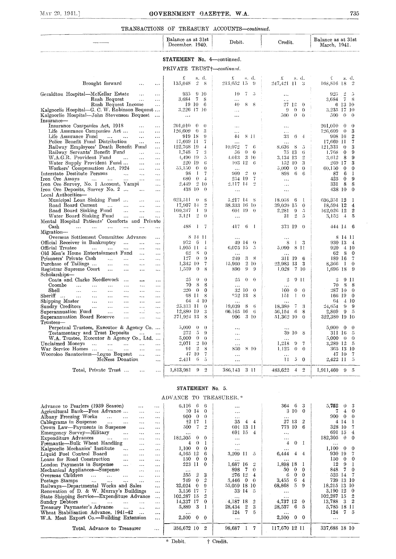## ${\tt TRANSACTIONS\;\; OF\;\;TREASURY\;\; ACCOUNTS—continued.}$

|                                                                                                                                           | Balance as at 31st<br>December. 1940.                       | Debit.                              | Credit.                                                                          | Balance as at 31st<br>March, 1941.            |
|-------------------------------------------------------------------------------------------------------------------------------------------|-------------------------------------------------------------|-------------------------------------|----------------------------------------------------------------------------------|-----------------------------------------------|
|                                                                                                                                           | STATEMENT No. 4-continued.                                  |                                     |                                                                                  |                                               |
|                                                                                                                                           | PRIVATE TRUST+-continued.                                   |                                     |                                                                                  |                                               |
|                                                                                                                                           | £<br>s. d.                                                  | £<br>s. d.                          | s. d.<br>£                                                                       | s. d.<br>£                                    |
| Brought forward<br>$\ddotsc$<br>$\ddotsc$                                                                                                 | 2 <sub>8</sub><br>155,048                                   | 213,652 15 9                        | 247,421 11 3                                                                     | 168,816 18<br>- 2                             |
| Geraldton Hospital—McKellar Estate<br>$\ddotsc$<br>$\ddotsc$                                                                              | -9-10<br>935                                                | 10<br>7<br>$\overline{D}$           | $\ddotsc$                                                                        | 925<br>$\overline{2}$<br>-5                   |
| Rush Bequest<br>$\ddotsc$<br>$\cdots$<br>Rush Bequest Income<br>$\ddotsc$                                                                 | 3.684 7<br>-8<br>19 10<br>- 6                               | 40<br>-S<br>- 8                     | 27120                                                                            | 3.684 7<br>- 8<br>6 13 10                     |
| Kalgoorlie Hospital-G. C. W. Robinson Bequest                                                                                             | 3.226 17 10                                                 | $\ddotsc$                           | $\theta$<br>$\theta$<br>9                                                        | 3.235 17 10                                   |
| Kalgoorlie Hospital—John Stevenson Bequest<br>$\cdots$<br>Insurance-                                                                      | $\ldots$                                                    | $\ddotsc$                           | $\theta$<br>$\theta$<br>500                                                      | 500<br>$\theta$<br>$\bar{z}$<br>$\Omega$      |
| Insurance Companies Act, 1918<br>$\ddotsc$                                                                                                | $201,010$ 0<br>$\theta$                                     | $\cdots$                            | $\ddotsc$                                                                        | 201,010<br>$\theta$<br>$\Omega$               |
| Life Assurance Companies Act<br>$\ddotsc$<br>$\ddotsc$                                                                                    | $126,609$ 0<br>-3                                           |                                     |                                                                                  | $126,609$ 0<br>3                              |
| Life Assurance Fund<br>$\mathbf{r}$ and $\mathbf{r}$ are all $\mathbf{r}$<br>$\ldots$<br>$\cdots$                                         | 919 18<br>-9                                                | 8 H<br>44                           | 33<br>6<br>$-4$                                                                  | $\overline{2}$<br>908 16                      |
| Police Beuefit Fund Distribution<br>$\ddotsc$<br>$\cdots$                                                                                 | 17,669 11<br>7                                              | $\ddotsc$                           | $\ddotsc$                                                                        | 7<br>17,669 11                                |
| Railway Employees' Death Benefit Fund<br>$\ddotsc$                                                                                        | 122.768 19<br>$\frac{1}{2}$                                 | 10.072<br>7<br>-6                   | 8.636<br>-8<br>-5                                                                | 121.333<br>$\theta$<br>3                      |
| Railway Servants' Benefit Fund<br>$\sim$ .<br>$\ddotsc$                                                                                   | 1,748<br>$\overline{7}$<br>-3                               | 56<br>$\theta$<br>$\theta$          | 75 13<br>$\mathbf{6}$                                                            | 1.768<br>$\mathbf{0}$<br>9                    |
| W.A.G.R. Provident Fund<br>$\cdots$<br>$\ldots$<br>$\cdots$<br>Water Supply Provident Fund                                                | 4.490 19<br>$\tilde{\mathcal{D}}$<br>220 19<br>$\mathbf{6}$ | 310<br>4.013<br>103 12<br>- 6       | $\mathbf{r}$<br>3.134-13<br>152 10<br>3                                          | $3.612 \quad 8$<br>9<br>269 17<br>3           |
| $\cdots$<br>$\cdots$<br>Workers' Compensation Act, 1924<br>$\ddots$<br>$\ddotsc$                                                          | $\theta$<br>55.150<br>$\theta$                              | $\ddotsc$                           | 5,000<br>$\theta$<br>$\theta$                                                    | 60.150<br>$\theta$<br>$\mathbf{0}$            |
| Interstate Destitute Persons<br>$\ddot{\phantom{a}}$<br>$\ldots$<br>$\ddotsc$                                                             | $\overline{7}$<br>98<br>$\perp$                             | $\frac{9}{2}$<br>909.<br>$\theta$   | 6<br>898<br>-6                                                                   | 6<br>-87<br>$\mathbf{I}$                      |
| Iron Ore Assays<br>$\sim 100$<br>$\cdots$<br>$\cdots$                                                                                     | 680<br>$\theta$<br>$\overline{4}$                           | 254 19<br>$\overline{\overline{t}}$ | $\cdots$                                                                         | 425<br>$\mathbf{0}$<br>9                      |
| Iron Ore Survey, No. 1 Account, Yampi<br>$\ddotsc$                                                                                        | 210<br>2.449                                                | 2.117 14<br>$\overline{2}$          | $\ddotsc$                                                                        | 331 8<br>8                                    |
| Irou Ore Deposits, Survey No. 2<br>$\ldots$<br>$\ddotsc$                                                                                  | 438 10<br>$\Omega$                                          |                                     | $\ddotsc$                                                                        | 438 10<br>$\theta$                            |
| Local Authorities-                                                                                                                        |                                                             |                                     |                                                                                  |                                               |
| Municipal Loan Sinking Fund<br>$\ddotsc$<br>$\ddotsc$                                                                                     | 623.511<br>$\theta$<br>-8                                   | 5.217 14 8                          | 18.058<br>-6<br>-1                                                               | 636,351 12<br>-1                              |
| Road Board Current<br>$\sim$<br>$\ddotsc$<br>$\ddotsc$                                                                                    | 17,907 14<br>$\overline{2}$<br>160,347<br>-9                | 38.333 16 10                        | 39,020 15<br>$\theta$                                                            | 18,594 12<br>$\bf{4}$<br>$\boldsymbol{2}$     |
| Road Board Sinking Fund<br>$\sim$<br>$\sim$ $\sim$<br>$\ldots$<br>Water Board Sinking Fund<br>$\sim$<br>$\ldots$<br>$\ddotsc$             | $\mathbf{I}$<br>3.121<br>$\overline{2}$<br>$\theta$         | 601 19 0<br>$\ddotsc$               | 2.281<br>$\Omega$<br>$\tilde{D}$<br>$\mathbf{2}$<br>31<br>$\tilde{\mathfrak{g}}$ | 162,026 12<br>3,152<br>$\frac{4}{5}$<br>5     |
| Mental Hospital Patients' Comforts and Private                                                                                            |                                                             |                                     |                                                                                  |                                               |
| $\operatorname{Cash}$<br>$\sim$ $\sim$<br>$\ddotsc$<br>$\cdots$<br>$\ldots$<br>$\sim$ $\sim$<br>$\ddotsc$                                 | 488<br><sup>1</sup><br>$\overline{I}$                       | 6 <sub>1</sub><br>417               | 373 19 0                                                                         | 444 14<br>- 6                                 |
| Migration-                                                                                                                                |                                                             |                                     |                                                                                  |                                               |
| Overseas Settlement Committee Advance<br>$\ddotsc$                                                                                        | 8 14 11                                                     |                                     | $\ddotsc$                                                                        | 8 14 11                                       |
| Official Receiver in Bankruptcy<br>$\mathbf{1}$ .<br>$\ldots$<br>$\ddotsc$                                                                | 972<br>- 6<br>- 1                                           | 49 14<br>$\theta$                   | -3<br>8<br>$\mathbf{1}$                                                          | 930 13 4                                      |
| Official Trustee<br>$\cdots$<br>$\ldots$<br>$\mathbf{1}$<br>$\ddotsc$<br>$\ddotsc$                                                        | 1.905 11<br>$\downarrow$                                    | 6.075 15<br>$\tilde{\mathcal{D}}$   | 5.090<br>-8-11                                                                   | $920 \quad 410$                               |
| Old Men's Home Entertainment Fund<br>$\sim$<br>$\cdots$                                                                                   | 62<br>- 8<br>$\theta$                                       | $\mathbf{A}$                        |                                                                                  | 62 8<br>$\mathbf 0$                           |
| Prisoners' Private Cash<br>$\ddotsc$<br>$\ddotsc$<br>$\sim$ . $\sim$<br>$\ddotsc$                                                         | 127<br>$\theta$<br>$\overline{9}$<br>$1,342$ 10<br>7        | 249<br>$3 - 8$<br>2 10              | 311 19<br>-6<br>3                                                                | 189 16<br>-7<br>$\theta$                      |
| Purchase of Tailings<br>$\ddotsc$<br>$\ddotsc$<br>$\ddotsc$<br>$\ddotsc$<br>Registrar Supreme Court<br>$\ldots$<br>$\ddotsc$<br>$\ddotsc$ | 1.559<br>$\theta$<br>8                                      | 15.960<br>890<br>9<br>-9            | 22.983 13<br>7 10<br>1.028                                                       | 8,366<br>$\mathbf{1}$<br>1,696 18<br>$\Omega$ |
| Scholarships-                                                                                                                             |                                                             |                                     |                                                                                  |                                               |
| Coats and Clarke Needlework<br>$\ddotsc$<br>$\ddotsc$<br>$\ddotsc$                                                                        | 25<br>$\theta$<br>$\theta$                                  | 25<br>$\theta$<br>$\theta$          | $\ddot{2}$<br>$9$ $11$                                                           | $\cdot$<br>9 11                               |
| Coombe<br>$\mathbf{A}$<br>$\sim$ $\sim$<br>$\sim$ $\sim$<br>$\lambda$ and<br>$\ddotsc$<br>$\ldots$                                        | 70<br>8<br>8                                                |                                     | $\ddotsc$                                                                        | 70 8 8                                        |
| Shell<br>$\ddotsc$<br>$\ddotsc$<br>$\ddotsc$<br>$\ldots$<br>$\cdots$<br>$\ddotsc$                                                         | $220^\circ$<br>$\theta$<br>$\mathbf{0}$                     | 32 10<br>$\theta$                   | 100<br>$\theta$<br>$\Omega$                                                      | 287 10<br>$\Omega$                            |
| Sheriff<br>$\ldots$<br>$\sim 10$<br>$\ddots$<br>$\ddotsc$<br>$\ddotsc$<br>$\ddotsc$                                                       | 68 11<br>-8                                                 | $*52$ 13<br>-8                      | 151<br>$\mathbf{I}$<br>$\theta$                                                  | 166 19<br>$\Omega$                            |
| Shipping Master<br>$\mathbf{1}$ .<br>$\sim$ . $\sim$<br>$\cdots$<br>$\cdots$<br>$\ddotsc$                                                 | $-4, 10$<br>64                                              |                                     |                                                                                  | 64<br>-4 10                                   |
| Sundry Creditors<br>$\sim$ 100 $\pm$<br>$\cdots$<br>$\cdots$<br>$\ddotsc$<br>$\ddotsc$                                                    | 25.313 11<br>$\theta$                                       | 19,039<br>-8<br>-6                  | 18,380<br>-7<br>3                                                                | 24,654<br>$\Omega$<br>-9                      |
| Superannuation Fund<br>$\ldots$<br>$\ddotsc$<br>$\ddotsc$<br>$\sim$ $\sim$                                                                | $\boldsymbol{3}$<br>12,880 19                               | 66.165 16<br>- 6                    | -6<br>8<br>56.154                                                                | 2.869<br>-9 - 5                               |
| Superannuation Board Reserve<br>$\cdots$<br>$\ddotsc$<br>$\ddotsc$                                                                        | 271.924 13<br>-8                                            | 3 10<br>906                         | 51,362 10<br>$\theta$                                                            | 322,380 19 10                                 |
| $T$ rustees—<br>Perpetual Trustees, Executor & Agency Co                                                                                  | 5,000<br>$\theta$<br>-0                                     |                                     |                                                                                  | $5.000 \quad 0$<br>$\theta$                   |
| Testamentary and Trust Deposits<br>$\sim 100$ km $^{-1}$<br>$\ldots$                                                                      | 272<br>$\overline{5}$<br>-9                                 | $\cdots$                            | 39 10<br>- 8                                                                     | 311 16<br>-5                                  |
| W.A. Trustee, Executor & Agency Co., Ltd.                                                                                                 | 5,000<br>$\theta$<br>$\theta$                               | $\cdots$                            |                                                                                  | $5,000 \quad 0$<br>$\theta$                   |
| Unclaimed Moneys<br>$\sim 10^{-1}$<br><b>Carl County</b><br>$\sim$ . $\sim$<br>$\mathcal{L}_{\mathcal{S},\mathcal{S}}$                    | 210<br>2,071                                                | $\ddotsc$                           | 1,218<br>9<br>7                                                                  | 3,289 12 5                                    |
| War Service Homes<br>$\sim$ .<br>$\ddotsc$<br>$\ddotsc$                                                                                   | $\overline{2}$<br>91<br>-8                                  | 8 10<br>850                         | 1.125<br>$\theta$<br>$\theta$                                                    | 365 13 10                                     |
| Wooroloo Sanatorium—Logue Bequest<br>$\sim$ 100 $\mu$<br>$\mathbf{1}$                                                                     | 47 10<br>$\overline{7}$                                     | $\ddotsc$                           |                                                                                  | 47 10<br>-7                                   |
| McNess Donation<br>$\ddotsc$                                                                                                              | 2.411<br>6<br>-5                                            | $\ddotsc$                           | 11<br>5<br>$\theta$                                                              | 2,422 11<br>$\overline{5}$                    |
|                                                                                                                                           | $\theta$<br>$\overline{2}$                                  |                                     | $\overline{4}$<br>$\overline{2}$                                                 |                                               |
| Total Private Trust<br>$\sim$<br>$\ddotsc$                                                                                                | 1,813,981                                                   | 3 11<br>386.143                     | 483,622                                                                          | $1,911,460$ 9 5                               |

### STATEMENT No. 5.

| $\cdots$  | $6,116$ 6             | -6                                                                                                                                                          | $\cdots$                                                 |                                                                                                                          | 364 6                                                           | 3                                                                                         | 5,752<br>0 <sup>3</sup>                                                                                       |
|-----------|-----------------------|-------------------------------------------------------------------------------------------------------------------------------------------------------------|----------------------------------------------------------|--------------------------------------------------------------------------------------------------------------------------|-----------------------------------------------------------------|-------------------------------------------------------------------------------------------|---------------------------------------------------------------------------------------------------------------|
| $\cdots$  | 10 14                 | $\theta$                                                                                                                                                    | $\ddotsc$                                                |                                                                                                                          | 3 10                                                            | $\Omega$                                                                                  | $\theta$<br>7<br>4                                                                                            |
| $\cdots$  | 900<br>$\Omega$       | $\Omega$                                                                                                                                                    | $\cdots$                                                 |                                                                                                                          | $\cdots$                                                        |                                                                                           | 900<br>$\Omega$                                                                                               |
| $\cdots$  | $+2$<br>17            |                                                                                                                                                             | $\overline{4}$                                           | 4                                                                                                                        |                                                                 |                                                                                           | 4 14                                                                                                          |
| $\cdots$  |                       | 2                                                                                                                                                           |                                                          |                                                                                                                          |                                                                 |                                                                                           | 328 10<br>-7                                                                                                  |
| $\cdots$  |                       |                                                                                                                                                             | 691<br>-15                                               | 4                                                                                                                        | $\cdots$                                                        |                                                                                           | 691<br>15<br>$\sim$ 4                                                                                         |
| $\cdots$  |                       |                                                                                                                                                             | $\cdots$                                                 |                                                                                                                          | $\cdots$                                                        |                                                                                           | 182,305<br>$\theta$<br>$\overline{0}$                                                                         |
| .         | 4                     |                                                                                                                                                             | $\cdots$                                                 |                                                                                                                          |                                                                 |                                                                                           |                                                                                                               |
| $\cdots$  |                       | $\Omega$                                                                                                                                                    | $\cdots$                                                 |                                                                                                                          |                                                                 |                                                                                           | $1.100 \quad 0 \quad 0$                                                                                       |
| $\cdots$  |                       |                                                                                                                                                             |                                                          |                                                                                                                          | $\pm$                                                           |                                                                                           | 930 19 7                                                                                                      |
| $\cdots$  |                       | $\Omega$                                                                                                                                                    | $\cdots$                                                 |                                                                                                                          |                                                                 |                                                                                           | 150<br>$0 \quad 0$                                                                                            |
| $\cdots$  |                       |                                                                                                                                                             |                                                          |                                                                                                                          |                                                                 |                                                                                           | 12<br>-9                                                                                                      |
| $\cdots$  | $\cdots$              |                                                                                                                                                             |                                                          |                                                                                                                          |                                                                 |                                                                                           | 848<br>$\theta$                                                                                               |
| $\cdots$  |                       |                                                                                                                                                             |                                                          |                                                                                                                          |                                                                 |                                                                                           | 525 14<br>- 7                                                                                                 |
| $\cdots$  |                       |                                                                                                                                                             |                                                          | $\Omega$                                                                                                                 |                                                                 |                                                                                           | 739<br>13 10                                                                                                  |
| $\ddotsc$ |                       |                                                                                                                                                             |                                                          |                                                                                                                          |                                                                 |                                                                                           | 18,215 13 10                                                                                                  |
| $\cdots$  | 3,156 17              |                                                                                                                                                             |                                                          |                                                                                                                          | $\cdots$                                                        |                                                                                           | 3,190 12 0                                                                                                    |
| $\ldots$  | 102,287 15            |                                                                                                                                                             | $\cdots$                                                 |                                                                                                                          | $\cdots$                                                        |                                                                                           | 102,287 15 2                                                                                                  |
| $\cdots$  | 14,337 17             | $\Omega$                                                                                                                                                    | $-4,187$ 18                                              | $\overline{2}$                                                                                                           | 4,737 12                                                        | $\theta$                                                                                  | 13,788 3 2                                                                                                    |
| $\cdots$  | 3<br>5,889            |                                                                                                                                                             | -2<br>28,434                                             | 3                                                                                                                        | -6<br>28,537                                                    | 5                                                                                         | 5,785 18 11                                                                                                   |
| $\cdots$  | $\cdots$              |                                                                                                                                                             | 124<br>7                                                 | 5                                                                                                                        | $\cdots$                                                        |                                                                                           | $124 \quad 7 \quad 5$                                                                                         |
| $\cdots$  | 2,500<br>$\mathbf{0}$ | $\Omega$                                                                                                                                                    | $\cdots$                                                 |                                                                                                                          | 2,500                                                           |                                                                                           | $\cdots$                                                                                                      |
|           |                       |                                                                                                                                                             |                                                          |                                                                                                                          |                                                                 |                                                                                           |                                                                                                               |
| $\cdots$  |                       |                                                                                                                                                             |                                                          |                                                                                                                          |                                                                 |                                                                                           | 337,688 18 10                                                                                                 |
|           |                       | $\tau$<br>500<br>182,305<br>$\Omega$<br>0<br>1,100<br>4,165 12<br>$\theta$<br>150.<br>223 11<br>2552<br>749<br>$\Omega$<br>32,024<br>$\theta$<br>356,672 10 | $0\quad 0$<br>-6<br>$\Omega$<br>3<br>2<br>$\overline{2}$ | ADVANCE TO TREASURER.*<br>35<br>601<br>3,209 11<br>1.687 16<br>7<br>898<br>276<br>-12<br>3,446<br>-0<br>55,059<br>98,687 | 13 11<br>5<br>2<br>$\Omega$<br>4<br>18 10<br>$33 \t14 \t5$<br>7 | 773 10<br>4<br>6,444<br>1,898 18<br>$\theta$<br>50<br>6<br>0<br>3,455<br>6<br>5<br>68,868 | 27 13<br>$\overline{2}$<br>6<br>0 <sub>1</sub><br>4<br>$\Omega$<br>0<br>4<br>9<br>$0\quad 0$<br>117,670 12 11 |

\* Debit.  $\overline{\dagger$  Credit.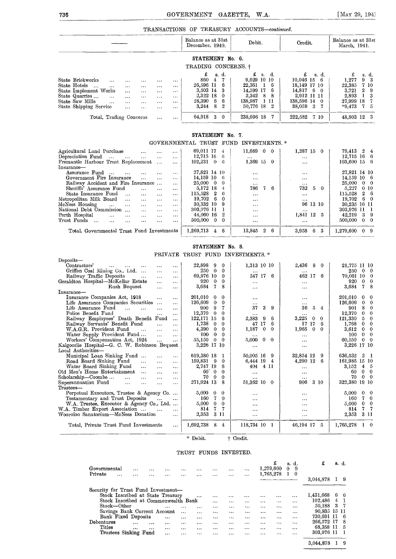TRANSACTIONS OF TREASURY ACCOUNTS-continued.

|                         |              |          |          |          |          | Balance as at 31st<br>December, 1940. | Debit.                | Credit.                  | Balance as at 31st<br>March, 1941. |
|-------------------------|--------------|----------|----------|----------|----------|---------------------------------------|-----------------------|--------------------------|------------------------------------|
|                         |              |          |          |          |          | STATEMENT No. 6.                      |                       |                          |                                    |
|                         |              |          |          |          |          | TRADING CONCERNS. †                   |                       |                          |                                    |
|                         |              |          |          |          |          | £<br>s. d.                            | $\mathbf{f}$<br>s. d. | s. d.                    | £<br>s. d.                         |
| State Brickworks        | $\cdots$     | $\cdots$ |          | $\cdots$ | $\cdots$ | 860<br>$\overline{4}$                 | 9.629 10 10           | $10.046$ 15 6            | 9 <sub>3</sub><br>1,277            |
| State Hotels<br>$\sim$  | $\cdots$     | $\cdots$ | $\cdots$ | $\cdots$ |          | 26,596 11<br>6                        | 22.361<br>16          | 18,149 17 10             | 7 10<br>22,385                     |
| State Implement Works   |              | $\cdots$ | $\cdots$ | $\cdots$ |          | 3.503 14 3                            | 14,599 17<br>- 6      | $14.817 \quad 6 \quad 0$ | 3,721<br>29                        |
| State Quarries          | $\cdots$     | $\cdots$ | $\cdots$ | $\cdots$ | $\cdots$ | 2,322 18<br>$\Omega$                  | 2,342<br>88           | 2,912 11 11              | 2,893<br>13                        |
| State Saw Mills         | $\mathbf{1}$ | $\cdots$ | $\cdots$ | $\cdots$ |          | 28,390<br>-6<br>6                     | -1-11<br>138.987      | 138,596 14 0             | 27.999 18                          |
| State Shipping Service  |              | $\cdots$ | $\cdots$ |          | $\cdots$ | 3,244<br>2<br>8                       | 50.776 18 2           | 38,059 2 7               | $*9.473 \quad 7 \quad 5$           |
| Total, Trading Concerns |              |          |          | $\cdots$ | $\cdots$ | 64,918 3 0                            | 238,696 18<br>-7      | 222,582 7 10             | 48,803 12 3                        |

## GOVERNMENTAL TRUST FUND INVESTMENTS. Agricultural Land Purchase ... ... ... 69,011 17 4 11,689 0 0 1,287 15 0 79,413 2 4<br>
Depreciation Fund ... ... ... ... ... ... 12,715 16 6 ... ... ... ... 12,715 16 6 ... ... ... 12,715 16 6 ...<br>
Fremantle Harbour Trust Re Depreciation Fund ... ... ... ... ... | 12,715 16 6 | ... | ... | ... | 12,715 16 6<br>Fremantle Harbour Trust Replacement ... ... | 102,231 0 6 | 1,369 15 0 | ... | 103,600 15 6 1 (1991)<br>
Assurance Fund ... ... ... ... ... ... ... 27,821 14 10<br>
Government Fire Insurance ... ... ... ... ... 14,159 10 6<br>
Railway Accident and Fire Insurance ... ... ... ... 27,821 14 10<br>
Railway Accident and Fire Insu Sheriffs' Assurance Fund 115,528 2 6<br>
State Insurance Fund 115,528 2 6 10<br>
State Insurance Fund 115,528 2 6 19,702 6 0 115,528 2 6 115,528 2 6<br>
tropolitan Milk Board 11. 115,528 2 6 19,702 6 0 115,528 1 115,528 2 6 19,702 Metropolitan Milk Board ... ... ... ... ... 19,702 6 0 ... ... ... ... 19,702 6 0 ... ... ... 19,702 6 0 ... .<br>McNess Housing ... ... ... ... ... ... 303,32 10 9 ... ... 96 13 10 30,235 16 11<br>National Debt Commission ... . McNess Housing ... ... ... ... ... | 30,332 10 9 | ... | 96 13 10 | 30,235 16 11 National Debt Commission 303,976 11 <sup>1</sup> 303,976 11 <sup>1</sup> Perth Hospital 44,060 16 <sup>2</sup> 1,841 12 <sup>5</sup> 42,219 <sup>3</sup> <sup>9</sup> Trust Funds 500,000 0 0 500,000 0 0

Total, Governmental Trust Fund Investments | 1,269,713 4 6 | 13,845 2 6 | 3,958 6 3 | 1,279,600 0 9

#### STATEMENT No. 8.

PRIVATE TRUST FUND INVESTMENTS. \*

| Deposits-                                                                       |                                          |                               |                               |                                       |
|---------------------------------------------------------------------------------|------------------------------------------|-------------------------------|-------------------------------|---------------------------------------|
| Contractors'<br>$\cdots$<br>$\cdots$<br>$\cdots$<br>$\cdots$<br>$\cdots$        | 22,898<br>9<br>$\theta$                  | 1,313 10 10                   | 2,436<br>8<br>$\theta$        | 21,775 11 10                          |
| Griffen Coal Mining Co., Ltd.<br>$\cdots$<br>$\cdots$                           | 250<br>$\theta$<br>$\Omega$              |                               | $\cdots$                      | 250<br>$\Omega$<br>$\theta$           |
| Railway Traffic Deposits<br>$\ddots$<br>$\cdots$<br>$\cdots$                    | 69,976 10<br>$\Omega$                    | 547 17<br>6                   | 462 17<br>6                   | 70,061 10<br>$\theta$                 |
| Geraldton Hospital-McKellar Estate<br>$\cdots$<br>$\cdots$                      | 920<br>0<br>0                            | $\cdots$                      | $\cdots$                      | 920<br>$\theta$<br>0                  |
| Rush Bequest<br>$\cdots$<br>$\cdots$                                            | 3,684<br>7<br>8                          |                               | $\cdots$                      | 3,684<br>7<br>8                       |
| Insurance-                                                                      |                                          |                               |                               |                                       |
| Insurance Companies Act, 1918<br>$\cdots$<br>$\cdots$                           | 201,010<br>$\bf{0}$<br>$^{\circ}$        | $\cdots$                      | $\cdots$                      | 201,010<br>$\bf{0}$<br>0              |
| Life Assurance Companies Securities<br>$\cdots$<br>$\cdots$                     | 126,609<br>$\mathbf{0}$<br>0             | $\cdots$                      | $\cdots$                      | 126,609<br>$\bf{0}$<br>$\theta$       |
| Life Assurance Fund<br>$\cdots$<br>$\cdots$<br>$\cdots$<br>$\cdots$             | 9<br>7<br>900                            | 37<br>3<br>9                  | 36<br>5.<br>4                 | 8<br>901<br>$\theta$                  |
| Police Benefit Fund<br>$\cdots$<br>$\cdots$                                     | 12,370<br>$\overline{0}$<br>$\mathbf{0}$ | $\cdots$                      | $\cdots$                      | 12,370<br>$\mathbf{0}$<br>$\mathbf 0$ |
| Railway Employees' Death Benefit<br>Fund<br>$\cdots$                            | 122,171<br>15<br>6                       | 2,383<br>-9<br>6              | 3,225<br>0<br>0               | 121,330<br>5<br>$\theta$              |
| Railway Servants' Benefit Fund<br>$\cdots$<br>$\cdots$                          | 1,738<br>$\Omega$<br>$\bf{0}$            | 17<br>6<br>47                 | 17<br>17<br>6                 | $\mathbf 0$<br>$\mathbf 0$<br>1.768   |
| W.A.G.R. Provident Fund<br>$\cdots$<br>$\cdots$<br>$\cdots$                     | 4,390<br>0<br>0                          | 1,187<br>$\bf{0}$<br>$\Omega$ | 1,965<br>$\Omega$<br>$\Omega$ | 3,612<br>$\mathbf{0}$<br>$\theta$     |
| Water Supply Provident Fund<br>$\ddotsc$<br>$\cdots$                            | $\theta$<br>$\Omega$<br>100              |                               | $\cdots$                      | $\theta$<br>$\Omega$<br>100           |
| Workers' Compensation Act, 1924<br>$\ddotsc$<br>$\cdots$                        | 55,150<br>$\mathbf{0}$<br>0              | 5,000<br>$\Omega$<br>0        | $\cdots$                      | 60,150<br>$\mathbf{0}$<br>$\mathbf 0$ |
| Kalgoorlie Hospital-G. C. W. Robinson Bequest                                   | 3,226 17 10                              | $\cdots$                      | $\cdots$                      | 3,226 17 10                           |
| Local Authorities-                                                              |                                          |                               |                               |                                       |
| Municipal Loan Sinking Fund<br>$\cdots$<br>$\cdots$                             | 619,380 18<br>1                          | 50,005 16<br>-9               | 32,854 12<br>9                | 636,532 2<br>-1                       |
| Road Board Sinking Fund<br>$\sim$<br>$\cdots$<br>$\cdots$                       | 159,831<br>9<br>0                        | 6,444 19<br>4                 | 4,290 12<br>6                 | 161,985 15 10                         |
| Water Board Sinking Fund<br>$\cdots$                                            | 2,747 19<br>6                            | 4 11<br>404                   |                               | 3.152<br>4<br>-5                      |
| $\cdots$<br>$\cdots$<br>Old Men's Home Entertainment<br>$\cdots$                | $60^{\circ}$<br>$\mathbf{0}$<br>$\theta$ |                               | $\cdots$                      | $\theta$<br>$\theta$<br>60            |
| $\cdots$<br>$\cdots$<br>Scholarship—Coombe<br>$\cdots$                          | $\mathbf{0}$<br>70<br>$\Omega$           | $\cdots$                      | $\cdots$                      | 70<br>$\theta$<br>$\theta$            |
| $\cdots$<br>$\cdots$<br>$\cdots$<br>Superannuation Fund<br>$\cdots$<br>$\cdots$ | 271,924 13<br>8                          | <br>51,362 10<br>$\theta$     | $\cdots$<br>906<br>3 10       | 322,380<br>19 10                      |
| $\ddotsc$<br>$\cdots$<br>Trustees-                                              |                                          |                               |                               |                                       |
| Perpetual Executors, Trustee & Agency Co                                        | 5,000<br>$\mathbf{0}$<br>0               |                               |                               | 5,000<br>$\theta$<br>0                |
| Testamentary and Trust Deposits                                                 | 7<br>160<br>$\mathbf 0$                  | $\cdots$                      |                               | 160<br>7<br>0                         |
| $\ddotsc$<br>$\cdots$<br>W.A. Trustee, Executor & Agency Co., Ltd               | 5,000<br>$\mathbf{0}$<br>$\mathbf{0}$    | $\cdots$                      | $\cdots$                      | $\mathbf 0$<br>5,000<br>0             |
|                                                                                 | $\overline{7}$<br>7<br>814               |                               | $\cdots$                      | 7<br>-7                               |
| W.A. Timber Export Association<br>$\ddotsc$<br>$\cdots$                         |                                          | $\cdots$                      | $\cdots$                      | 814                                   |
| Wooroloo Sanatorium—McNess Donation<br>$\cdots$                                 | 2,353<br>3 11                            | $\cdots$                      | $\cdots$                      | 2,353<br>3 11                         |
| Total, Private Trust Fund Investments<br>$\cdots$                               | 1,692,738<br>8<br>4                      | 118,734 10<br>-1              | 46.194 17<br>-5               | 1,765,278<br>$1 \quad 0$              |
|                                                                                 |                                          |                               |                               |                                       |
|                                                                                 |                                          |                               |                               |                                       |

\* Debit. Credit.

#### TRUST FUNDS INVESTED.

| Governmental<br>Private             | $\cdots$ | <br>     | $\cdots$<br>$\ddotsc$ | <br>                                 | $\ddotsc$<br>$\ddotsc$ | <br>     | $\cdots$<br>$\cdots$ | $\cdots$<br>$\cdots$ | <br>     | 1,279,600<br>1,765,278 | £        | s. d.<br>9<br>0<br>0 | £<br>3.044.878 | 8. d. | 9   |  |
|-------------------------------------|----------|----------|-----------------------|--------------------------------------|------------------------|----------|----------------------|----------------------|----------|------------------------|----------|----------------------|----------------|-------|-----|--|
| Security for Trust Fund Investment- |          |          |                       |                                      |                        |          |                      |                      |          |                        |          |                      |                |       |     |  |
|                                     |          |          |                       | Stock Inscribed at State Treasury    |                        |          |                      |                      |          |                        | $\cdots$ | $\cdots$             | 1,431,668      | -6    | -6  |  |
|                                     |          |          |                       | Stock Inscribed at Commonwealth Bank |                        |          | $\cdots$             | $\cdots$             |          |                        | $\cdots$ | $\cdots$             | 102,486        | 4     |     |  |
| Stock-Other                         |          |          |                       | $\cdots$                             | $\cdots$               | $\cdots$ |                      | $\cdots$             |          |                        |          | $\cdots$             | 50.188         | -3    |     |  |
|                                     |          |          |                       | Savings Bank Current Account         | $\cdots$               | $\cdots$ | $\cdots$             |                      | $\cdots$ |                        |          | $\cdots$             | 90,935 15 11   |       |     |  |
| Bank Fixed Deposits                 |          |          |                       |                                      | $\cdots$               | $\cdots$ | $\cdots$             | $\cdots$             | $\cdots$ |                        |          |                      | 730.691 11     |       | - 6 |  |
| Debentures                          |          | $\cdots$ | $\cdots$              | $\cdots$                             | $\ddotsc$              |          | $\cdots$             | $\cdots$             | $\cdots$ |                        |          | $\ddotsc$            | 266,572 17     |       | 8   |  |
| Titles                              |          |          | $\cdots$              | $\cdots$                             | $\cdots$               |          |                      | $\cdots$             |          | $\cdots$               | $\cdots$ | $\cdots$             | 68,358 11      |       | - 5 |  |
| Trustees Sinking Fund               |          |          |                       | $\cdots$                             |                        |          | $\cdots$             |                      | $\cdots$ | $\cdots$               |          | $\cdots$             | 303.976 11     |       |     |  |

3,044,878 1 9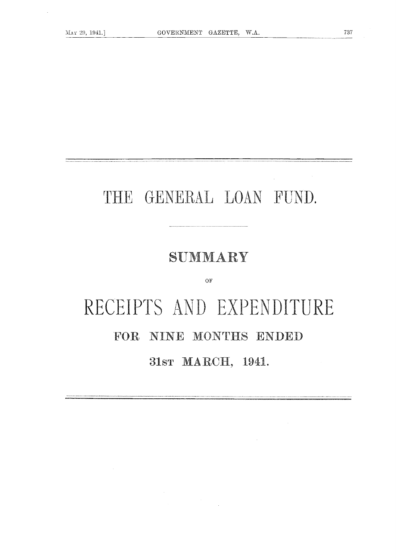$\sim 10$ 

737

## THE GENERAL LOAN FUND.

## SUMMARY

 $O<sub>F</sub>$ 

# RECEIPTS AND EXPENDITURE FOR NINE MONTHS ENDED 31sr MARCH, 1941.

 $\sim 10^7$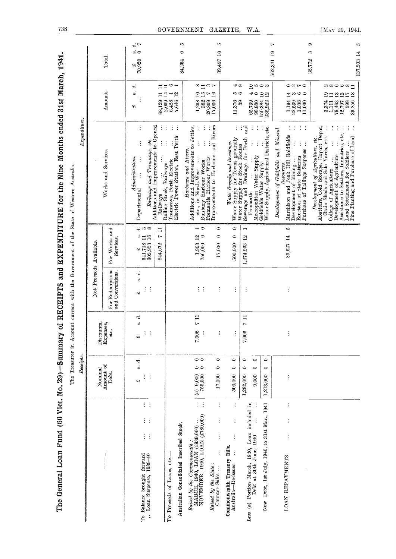|                                                                                                                   | Receipts.                                                                                       |                                             |                                                          |                                                                   | $\emph{Expenditive}.$                                                                                                                                                                                                                                                                                                               |                                                                                                                         |                                                                   |
|-------------------------------------------------------------------------------------------------------------------|-------------------------------------------------------------------------------------------------|---------------------------------------------|----------------------------------------------------------|-------------------------------------------------------------------|-------------------------------------------------------------------------------------------------------------------------------------------------------------------------------------------------------------------------------------------------------------------------------------------------------------------------------------|-------------------------------------------------------------------------------------------------------------------------|-------------------------------------------------------------------|
|                                                                                                                   |                                                                                                 |                                             | Net Proceeds Available.                                  |                                                                   |                                                                                                                                                                                                                                                                                                                                     |                                                                                                                         |                                                                   |
|                                                                                                                   | Nominal<br>Amount of<br>Debt.                                                                   | Discounts,<br>Expenses,<br>etc.             | For Redemptions<br>and Conversions.                      | For Works and<br><b>Services</b>                                  | Services<br>Works and                                                                                                                                                                                                                                                                                                               | Amount.                                                                                                                 | Total.                                                            |
| $\mathbb{R}^3$<br>$\mathcal{C}$ .<br>$\frac{1}{2}$ .<br>To Balance brought forward<br>,, Loan Suspense, 1939-40   | ಕ<br>$\mathbf{z}^{\prime}_{2}$<br>$\mathcal{C}^{\mathcal{C}}$<br>پ                              | тJ<br>$\dot{\omega}$<br>$\ddot{\cdot}$<br>پ | $\dot{\sigma}$<br>á<br>$\mathcal{L}_{\mathcal{A}}$<br>يب | $ \div$ $\infty$<br>$\frac{1}{541,718}$ 11<br>302,953 16<br>پ     | ÷<br>$\vdots$<br>$Admunist ratio n$ .<br>$\vdots$<br>Departmental                                                                                                                                                                                                                                                                   | ಕ<br>si.<br>cH,                                                                                                         | $\vec{\sigma}$<br>$\omega$ $\subset$<br>$\frac{\text{E}}{10,920}$ |
|                                                                                                                   |                                                                                                 |                                             |                                                          | $\equiv$<br>r<br>844,672                                          | Railways and Tramways, etc.<br>Additions and Improvements to Opened<br>÷<br>$\frac{1}{2}$<br>Railways                                                                                                                                                                                                                               | $\Xi \Xi$<br>$\Box$<br>68,129                                                                                           |                                                                   |
| Australian Consolidated Inscribed Stock.<br>To Proceeds of Loans, etc.-                                           |                                                                                                 |                                             |                                                          |                                                                   | ŧ<br>÷<br>÷<br>Electric Power Station, East Perth<br>$\frac{1}{2}$<br>Rolling Stock, Railways<br>Tramways, Perth Electric                                                                                                                                                                                                           | $\circ$ $\lnot$<br>$\begin{array}{c} 2,059 & 14 \\ 6,428 & 1 \\ 7,646 & 12 \end{array}$                                 |                                                                   |
| $\mathbb{R}^3$<br>Raised by the Commonwealth :<br>MARCH, 1940, LOAN (£939,000)<br>NOVEMBER, 1940, LOAN (£780,000) | 00<br>$\bullet\bullet$<br>$\begin{array}{c} (a) \enspace 9,000 \\ \enspace 756,000 \end{array}$ | $\frac{1}{1}$<br>7,006<br>÷                 | $\mathcal{C}^{\mathcal{A}}$                              | $\overline{\phantom{a}}$<br>$\mathop{2\circ}$<br>1,993<br>756,000 | $\vdots$<br>Additions and Improvements to Jetties,<br>etc., in North-West $\cdots$<br>$\ddot{\cdot}$<br>Harbours and Rivers.<br>Bunbury Harbour Works                                                                                                                                                                               | $\infty$ $\equiv$ $\infty$ $\sim$<br>$\begin{array}{r} 1,258 & 10 \\ 382 & 15 \\ 20,809 & 7 \\ 17,006 & 16 \end{array}$ | r<br>0<br>84,264                                                  |
| $\ddot{\cdot}$<br>$\vdots$<br>$\vdots$<br>$\vdots$<br>Raised by the State:<br>Counter Sales                       | $\circ$<br>$\Rightarrow$<br>17,000                                                              | $\vdots$                                    | ÷                                                        | $\circ$<br>$\bullet$<br>$17{,}000$                                | Improvements to Harbours and Rivers<br>Fremantle Harbour Works                                                                                                                                                                                                                                                                      | 20,809<br>17,006                                                                                                        | 10<br>$\mathbf{r}$<br>39,457                                      |
| $\ddot{z}$<br>$\vdots$<br>$\frac{1}{2}$<br>Commonwealth Treasury Bills.<br>$\vdots$<br>Australia-Re-issues        | $\circ$<br>٥<br>500,000                                                                         | $\ddot{\phantom{a}}$                        | $\vdots$                                                 | $\circ$<br>0<br>500,000                                           | Water Supply and Severage.<br>Water Supply for Towns generally<br>Water Supply for Stock Routes                                                                                                                                                                                                                                     | 41 CD<br>10 అ<br>11,376<br>39                                                                                           |                                                                   |
| Less (a) Portion March, 1940, Loan included in<br>Debt at 30th June, 1940                                         | $\circ$<br>$\circ$<br>$\circ$<br>$\circ$<br>9,000<br>1,282,000                                  | $\Xi$<br>$\mathbf{r}$<br>7,006              | ÷                                                        | $\overline{\phantom{0}}$<br>$\overline{12}$<br>1,274,993          | İ<br>İ<br>and<br>÷<br>Sewerage and Drainage for Perth<br>$\vdots$<br>$\frac{1}{2}$<br>uremanue<br>Metropolitan Water Supply<br>Fremantle                                                                                                                                                                                            | 41 ⊝                                                                                                                    |                                                                   |
| Debt, 1st July, 1940, to 31st Mar., 1941<br>New                                                                   | $\bullet$<br>0<br>1,273,000                                                                     |                                             |                                                          |                                                                   | Goldfields Water Supply<br>Water Supply, Agricultural Districts, etc.<br>Water Supply, Agricultural Districts, etc.                                                                                                                                                                                                                 | 25000<br>$\frac{10}{12}$<br>$\begin{array}{c} 65,739 \\ 98,880 \\ 150,384 \\ 235,922 \end{array}$                       |                                                                   |
| $\vdots$<br>$\vdots$<br>$\vdots$<br><b>IOAN REPAYMENTS</b>                                                        | $\vdots$                                                                                        |                                             | ÷                                                        | ìФ.<br>85,627 14                                                  | $\frac{1}{2}$ .<br>ţ.<br>÷<br>Development of Goldfields and Mineral<br>Murchison and Peak Hill Goldfields<br>$\frac{1}{\sqrt{2}}$<br>Development of Mining<br>Exection of State Batteries<br>Purchase of Tailings Suspense                                                                                                          | $\circ$ aro<br>$\mathbb{I}^{\omega}$ where<br>$\frac{1,194}{22,539}$<br>$\frac{1,038}{1,038}$                           | ٣<br>61<br>562,341                                                |
|                                                                                                                   |                                                                                                 |                                             |                                                          |                                                                   | ÷<br><i>Development of Agriculture, etc.</i><br>Abattoirs, Cold Storage, Export Depot,<br>Grain Sheds and Sale Yands, etc.<br>÷<br>$\frac{1}{2}$<br>÷<br>College of Agriculture<br>Development of Agriculture<br>Assistance to Settlers, Industries, etc.<br>Land Settlement for Soldiers<br>All All Continues and Purchase of Land | 。<br>ශ∞ඏඏ∞⊐<br>anaana<br>$\begin{array}{c} 3.374 \\ 1.111 \\ 79.463 \\ 12.797 \end{array}$<br>59,856<br>39,856          | G<br>10<br>S<br>137,203 14<br>35,772                              |

738

[MAY 29, 1941.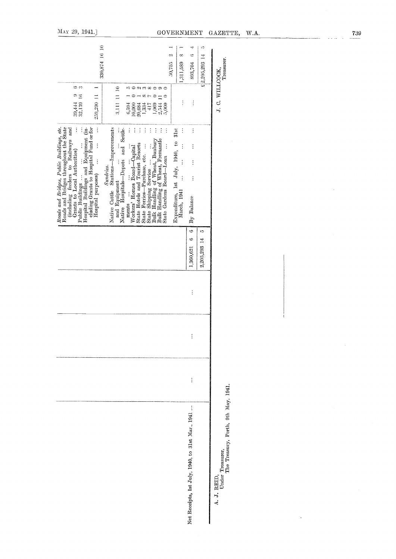|                                                                                                                                                                                                                                                                                                                                                                                        |                                                                                                           |                                                            |                                                  |                                  | W.A.                                                               |
|----------------------------------------------------------------------------------------------------------------------------------------------------------------------------------------------------------------------------------------------------------------------------------------------------------------------------------------------------------------------------------------|-----------------------------------------------------------------------------------------------------------|------------------------------------------------------------|--------------------------------------------------|----------------------------------|--------------------------------------------------------------------|
|                                                                                                                                                                                                                                                                                                                                                                                        | ∞<br>1,311,589                                                                                            | 4<br>$\circ$<br>893,704                                    | ĸ                                                | Treasurer.                       |                                                                    |
| း ၁<br>an xoo o<br>∞r<br>$\ddot{\phantom{0}}$<br>$\circ$<br>$\equiv$<br>2,544<br>1,334<br>417<br>1,069<br>5,000                                                                                                                                                                                                                                                                        | $\vdots$                                                                                                  | $\vdots$                                                   |                                                  |                                  |                                                                    |
| $\ddot{\cdot}$<br>$\vdots$<br>$\vdots$<br>$\vdots$<br>$\vdots$<br>$\vdots$<br>$\vdots$<br>÷<br>State Shipping Service $\ldots$ $\ldots$<br>Bulk Handling of Wheat, Bunbury<br>Bulk Handling of Wheat, Fremantle<br>State Gardens Board—Loan $\ldots$<br>State Hotels and Tourist Resorts<br>$\vdots$<br>ments<br>Workers' Homes Board—Capital<br>State Ferries-Purchase, etc.<br>ments | $\ddot{\cdot}$<br>Expenditure, 1st July, 1940, to 31st<br>$\vdots$<br>$\vdots$<br>$\vdots$<br>March, 1941 | $\vdots$<br>$\vdots$<br>$\vdots$<br>$\vdots$<br>By Balance |                                                  |                                  |                                                                    |
|                                                                                                                                                                                                                                                                                                                                                                                        |                                                                                                           | G<br>ల<br>1,360,621                                        | ìQ<br>2,205,293 14                               |                                  |                                                                    |
|                                                                                                                                                                                                                                                                                                                                                                                        |                                                                                                           | $\vdots$                                                   |                                                  |                                  |                                                                    |
|                                                                                                                                                                                                                                                                                                                                                                                        |                                                                                                           | $\vdots$                                                   |                                                  |                                  |                                                                    |
|                                                                                                                                                                                                                                                                                                                                                                                        |                                                                                                           | $\vdots$                                                   |                                                  |                                  |                                                                    |
|                                                                                                                                                                                                                                                                                                                                                                                        |                                                                                                           |                                                            |                                                  | A. J. REID,<br>Under Treasurer,  |                                                                    |
| Native Hospitals-Depots and Settle-                                                                                                                                                                                                                                                                                                                                                    | $6,594$<br>10,000<br>20,684                                                                               | ФÌ<br>50,755                                               | Net Receipts, 1st July, 1940, to 31st Mar., 1941 | GOVERNMENT<br>$£$ $2,205,293$ 14 | GAZETTE,<br>J. C. WILLCOCK,<br>The Treasury, Perth, 9th May, 1941. |

739

 $\sim$ 

 $\mathcal{L}_{\mathcal{A}}$ 

 $\bar{\bar{z}}$ 

 $\Delta \sim 1$